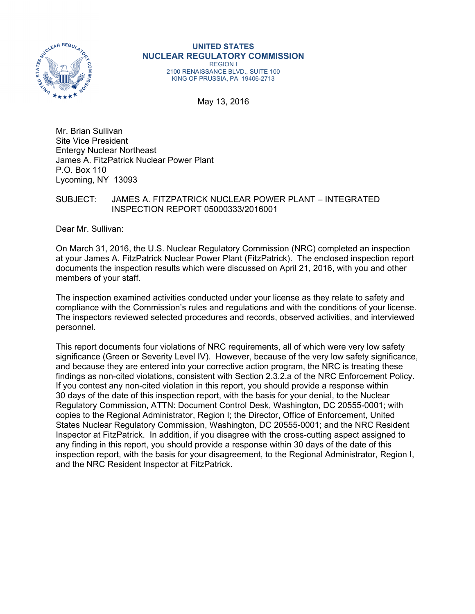

## **UNITED STATES NUCLEAR REGULATORY COMMISSION**

REGION I 2100 RENAISSANCE BLVD., SUITE 100 KING OF PRUSSIA, PA 19406-2713

May 13, 2016

Mr. Brian Sullivan Site Vice President Entergy Nuclear Northeast James A. FitzPatrick Nuclear Power Plant P.O. Box 110 Lycoming, NY 13093

## SUBJECT: JAMES A. FITZPATRICK NUCLEAR POWER PLANT – INTEGRATED INSPECTION REPORT 05000333/2016001

Dear Mr. Sullivan:

On March 31, 2016, the U.S. Nuclear Regulatory Commission (NRC) completed an inspection at your James A. FitzPatrick Nuclear Power Plant (FitzPatrick). The enclosed inspection report documents the inspection results which were discussed on April 21, 2016, with you and other members of your staff.

The inspection examined activities conducted under your license as they relate to safety and compliance with the Commission's rules and regulations and with the conditions of your license. The inspectors reviewed selected procedures and records, observed activities, and interviewed personnel.

This report documents four violations of NRC requirements, all of which were very low safety significance (Green or Severity Level IV). However, because of the very low safety significance, and because they are entered into your corrective action program, the NRC is treating these findings as non-cited violations, consistent with Section 2.3.2.a of the NRC Enforcement Policy. If you contest any non-cited violation in this report, you should provide a response within 30 days of the date of this inspection report, with the basis for your denial, to the Nuclear Regulatory Commission, ATTN: Document Control Desk, Washington, DC 20555-0001; with copies to the Regional Administrator, Region I; the Director, Office of Enforcement, United States Nuclear Regulatory Commission, Washington, DC 20555-0001; and the NRC Resident Inspector at FitzPatrick. In addition, if you disagree with the cross-cutting aspect assigned to any finding in this report, you should provide a response within 30 days of the date of this inspection report, with the basis for your disagreement, to the Regional Administrator, Region I, and the NRC Resident Inspector at FitzPatrick.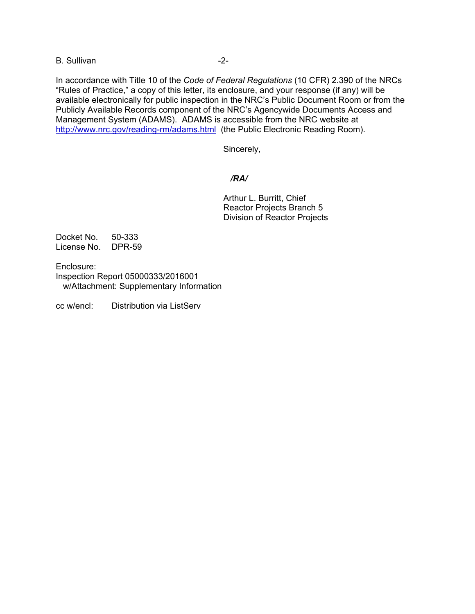B. Sullivan -2-

In accordance with Title 10 of the *Code of Federal Regulations* (10 CFR) 2.390 of the NRCs "Rules of Practice," a copy of this letter, its enclosure, and your response (if any) will be available electronically for public inspection in the NRC's Public Document Room or from the Publicly Available Records component of the NRC's Agencywide Documents Access and Management System (ADAMS). ADAMS is accessible from the NRC website at http://www.nrc.gov/reading-rm/adams.html (the Public Electronic Reading Room).

Sincerely,

## */RA/*

Arthur L. Burritt, Chief Reactor Projects Branch 5 Division of Reactor Projects

Docket No. 50-333 License No. DPR-59

Enclosure: Inspection Report 05000333/2016001 w/Attachment: Supplementary Information

cc w/encl: Distribution via ListServ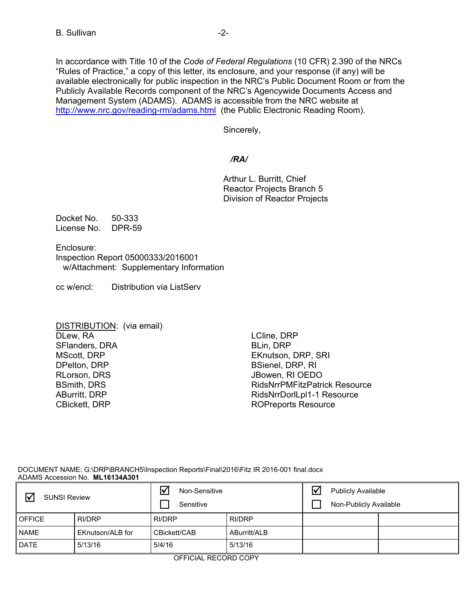In accordance with Title 10 of the *Code of Federal Regulations* (10 CFR) 2.390 of the NRCs "Rules of Practice," a copy of this letter, its enclosure, and your response (if any) will be available electronically for public inspection in the NRC's Public Document Room or from the Publicly Available Records component of the NRC's Agencywide Documents Access and Management System (ADAMS). ADAMS is accessible from the NRC website at http://www.nrc.gov/reading-rm/adams.html (the Public Electronic Reading Room).

Sincerely,

## */RA/*

Arthur L. Burritt, Chief Reactor Projects Branch 5 Division of Reactor Projects

Docket No. 50-333 License No. DPR-59

Enclosure: Inspection Report 05000333/2016001 w/Attachment: Supplementary Information

cc w/encl: Distribution via ListServ

| DISTRIBUTION: (via email) |  |
|---------------------------|--|
| DLew, RA                  |  |
| SFlanders, DRA            |  |
| <b>MScott, DRP</b>        |  |
| DPelton, DRP              |  |
| RLorson, DRS              |  |
| <b>BSmith, DRS</b>        |  |
| <b>ABurritt, DRP</b>      |  |
| <b>CBickett, DRP</b>      |  |

LCline, DRP BLin, DRP EKnutson, DRP, SRI BSienel, DRP, RI JBowen, RI OEDO RidsNrrPMFitzPatrick Resource RidsNrrDorlLpl1-1 Resource ROPreports Resource

 DOCUMENT NAME: G:\DRP\BRANCH5\Inspection Reports\Final\2016\Fitz IR 2016-001 final.docx ADAMS Accession No. **ML16134A301** 

| $\triangledown$<br><b>SUNSI Review</b> |                  | Non-Sensitive<br>Sensitive |              | $\overline{\mathsf{v}}$ | <b>Publicly Available</b><br>Non-Publicly Available |  |
|----------------------------------------|------------------|----------------------------|--------------|-------------------------|-----------------------------------------------------|--|
| <b>OFFICE</b>                          | RI/DRP           | RI/DRP                     | RI/DRP       |                         |                                                     |  |
| <b>NAME</b>                            | EKnutson/ALB for | CBickett/CAB               | ABurritt/ALB |                         |                                                     |  |
| <b>DATE</b>                            | 5/13/16          | 5/4/16                     | 5/13/16      |                         |                                                     |  |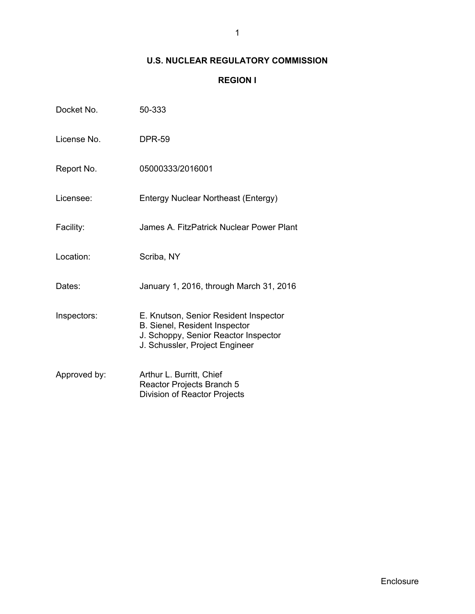## **U.S. NUCLEAR REGULATORY COMMISSION**

## **REGION I**

| Docket No.   | 50-333                                                                                                                                           |
|--------------|--------------------------------------------------------------------------------------------------------------------------------------------------|
| License No.  | <b>DPR-59</b>                                                                                                                                    |
| Report No.   | 05000333/2016001                                                                                                                                 |
| Licensee:    | Entergy Nuclear Northeast (Entergy)                                                                                                              |
| Facility:    | James A. FitzPatrick Nuclear Power Plant                                                                                                         |
| Location:    | Scriba, NY                                                                                                                                       |
| Dates:       | January 1, 2016, through March 31, 2016                                                                                                          |
| Inspectors:  | E. Knutson, Senior Resident Inspector<br>B. Sienel, Resident Inspector<br>J. Schoppy, Senior Reactor Inspector<br>J. Schussler, Project Engineer |
| Approved by: | Arthur L. Burritt, Chief<br>Reactor Projects Branch 5<br><b>Division of Reactor Projects</b>                                                     |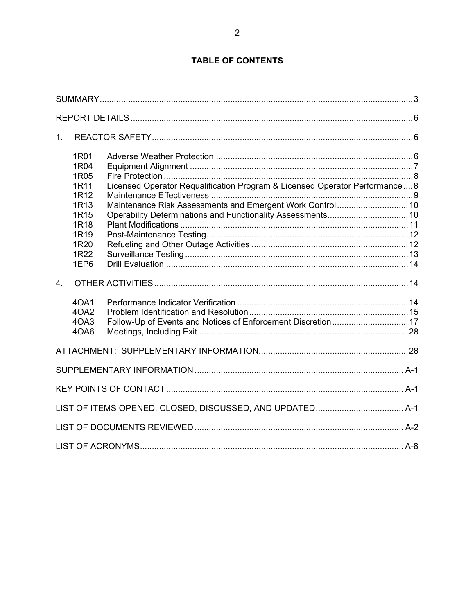## **TABLE OF CONTENTS**

| 1.               |                                                                                              |                                                                                                                                         |  |
|------------------|----------------------------------------------------------------------------------------------|-----------------------------------------------------------------------------------------------------------------------------------------|--|
|                  | 1R01<br>1R04<br>1R05<br>1R11<br>1R12<br>1R13<br>1R <sub>15</sub><br>1R18<br>1R <sub>19</sub> | Licensed Operator Requalification Program & Licensed Operator Performance8<br>Maintenance Risk Assessments and Emergent Work Control 10 |  |
|                  | 1R20<br>1R22<br>1EP6                                                                         |                                                                                                                                         |  |
| $\overline{4}$ . |                                                                                              |                                                                                                                                         |  |
|                  | 40A1<br>4OA2<br>4OA3<br>4OA6                                                                 | Follow-Up of Events and Notices of Enforcement Discretion  17                                                                           |  |
|                  |                                                                                              |                                                                                                                                         |  |
|                  |                                                                                              |                                                                                                                                         |  |
|                  |                                                                                              |                                                                                                                                         |  |
|                  |                                                                                              |                                                                                                                                         |  |
|                  |                                                                                              |                                                                                                                                         |  |
|                  |                                                                                              |                                                                                                                                         |  |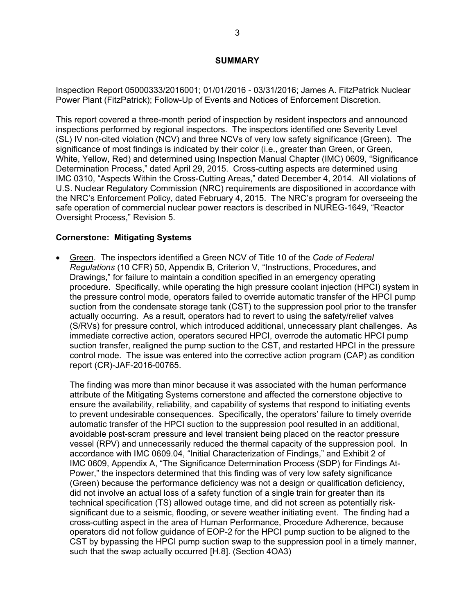#### **SUMMARY**

Inspection Report 05000333/2016001; 01/01/2016 - 03/31/2016; James A. FitzPatrick Nuclear Power Plant (FitzPatrick); Follow-Up of Events and Notices of Enforcement Discretion.

This report covered a three-month period of inspection by resident inspectors and announced inspections performed by regional inspectors. The inspectors identified one Severity Level (SL) IV non-cited violation (NCV) and three NCVs of very low safety significance (Green). The significance of most findings is indicated by their color (i.e., greater than Green, or Green, White, Yellow, Red) and determined using Inspection Manual Chapter (IMC) 0609, "Significance Determination Process," dated April 29, 2015. Cross-cutting aspects are determined using IMC 0310, "Aspects Within the Cross-Cutting Areas," dated December 4, 2014. All violations of U.S. Nuclear Regulatory Commission (NRC) requirements are dispositioned in accordance with the NRC's Enforcement Policy, dated February 4, 2015. The NRC's program for overseeing the safe operation of commercial nuclear power reactors is described in NUREG-1649, "Reactor Oversight Process," Revision 5.

#### **Cornerstone: Mitigating Systems**

 Green. The inspectors identified a Green NCV of Title 10 of the *Code of Federal Regulations* (10 CFR) 50, Appendix B, Criterion V, "Instructions, Procedures, and Drawings," for failure to maintain a condition specified in an emergency operating procedure. Specifically, while operating the high pressure coolant injection (HPCI) system in the pressure control mode, operators failed to override automatic transfer of the HPCI pump suction from the condensate storage tank (CST) to the suppression pool prior to the transfer actually occurring. As a result, operators had to revert to using the safety/relief valves (S/RVs) for pressure control, which introduced additional, unnecessary plant challenges. As immediate corrective action, operators secured HPCI, overrode the automatic HPCI pump suction transfer, realigned the pump suction to the CST, and restarted HPCI in the pressure control mode. The issue was entered into the corrective action program (CAP) as condition report (CR)-JAF-2016-00765.

The finding was more than minor because it was associated with the human performance attribute of the Mitigating Systems cornerstone and affected the cornerstone objective to ensure the availability, reliability, and capability of systems that respond to initiating events to prevent undesirable consequences. Specifically, the operators' failure to timely override automatic transfer of the HPCI suction to the suppression pool resulted in an additional, avoidable post-scram pressure and level transient being placed on the reactor pressure vessel (RPV) and unnecessarily reduced the thermal capacity of the suppression pool. In accordance with IMC 0609.04, "Initial Characterization of Findings," and Exhibit 2 of IMC 0609, Appendix A, "The Significance Determination Process (SDP) for Findings At-Power," the inspectors determined that this finding was of very low safety significance (Green) because the performance deficiency was not a design or qualification deficiency, did not involve an actual loss of a safety function of a single train for greater than its technical specification (TS) allowed outage time, and did not screen as potentially risksignificant due to a seismic, flooding, or severe weather initiating event. The finding had a cross-cutting aspect in the area of Human Performance, Procedure Adherence, because operators did not follow guidance of EOP-2 for the HPCI pump suction to be aligned to the CST by bypassing the HPCI pump suction swap to the suppression pool in a timely manner, such that the swap actually occurred [H.8]. (Section 4OA3)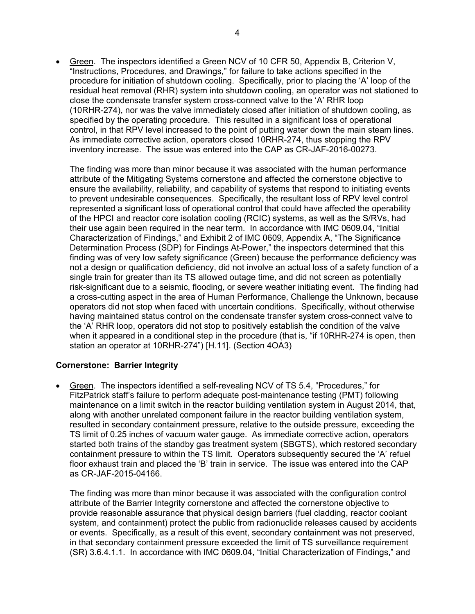Green. The inspectors identified a Green NCV of 10 CFR 50, Appendix B, Criterion V, "Instructions, Procedures, and Drawings," for failure to take actions specified in the procedure for initiation of shutdown cooling. Specifically, prior to placing the 'A' loop of the residual heat removal (RHR) system into shutdown cooling, an operator was not stationed to close the condensate transfer system cross-connect valve to the 'A' RHR loop (10RHR-274), nor was the valve immediately closed after initiation of shutdown cooling, as specified by the operating procedure. This resulted in a significant loss of operational control, in that RPV level increased to the point of putting water down the main steam lines. As immediate corrective action, operators closed 10RHR-274, thus stopping the RPV inventory increase. The issue was entered into the CAP as CR-JAF-2016-00273.

The finding was more than minor because it was associated with the human performance attribute of the Mitigating Systems cornerstone and affected the cornerstone objective to ensure the availability, reliability, and capability of systems that respond to initiating events to prevent undesirable consequences. Specifically, the resultant loss of RPV level control represented a significant loss of operational control that could have affected the operability of the HPCI and reactor core isolation cooling (RCIC) systems, as well as the S/RVs, had their use again been required in the near term. In accordance with IMC 0609.04, "Initial Characterization of Findings," and Exhibit 2 of IMC 0609, Appendix A, "The Significance Determination Process (SDP) for Findings At-Power," the inspectors determined that this finding was of very low safety significance (Green) because the performance deficiency was not a design or qualification deficiency, did not involve an actual loss of a safety function of a single train for greater than its TS allowed outage time, and did not screen as potentially risk-significant due to a seismic, flooding, or severe weather initiating event. The finding had a cross-cutting aspect in the area of Human Performance, Challenge the Unknown, because operators did not stop when faced with uncertain conditions. Specifically, without otherwise having maintained status control on the condensate transfer system cross-connect valve to the 'A' RHR loop, operators did not stop to positively establish the condition of the valve when it appeared in a conditional step in the procedure (that is, "if 10RHR-274 is open, then station an operator at 10RHR-274") [H.11]. (Section 4OA3)

## **Cornerstone: Barrier Integrity**

 Green. The inspectors identified a self-revealing NCV of TS 5.4, "Procedures," for FitzPatrick staff's failure to perform adequate post-maintenance testing (PMT) following maintenance on a limit switch in the reactor building ventilation system in August 2014, that, along with another unrelated component failure in the reactor building ventilation system, resulted in secondary containment pressure, relative to the outside pressure, exceeding the TS limit of 0.25 inches of vacuum water gauge. As immediate corrective action, operators started both trains of the standby gas treatment system (SBGTS), which restored secondary containment pressure to within the TS limit. Operators subsequently secured the 'A' refuel floor exhaust train and placed the 'B' train in service. The issue was entered into the CAP as CR-JAF-2015-04166.

The finding was more than minor because it was associated with the configuration control attribute of the Barrier Integrity cornerstone and affected the cornerstone objective to provide reasonable assurance that physical design barriers (fuel cladding, reactor coolant system, and containment) protect the public from radionuclide releases caused by accidents or events. Specifically, as a result of this event, secondary containment was not preserved, in that secondary containment pressure exceeded the limit of TS surveillance requirement (SR) 3.6.4.1.1. In accordance with IMC 0609.04, "Initial Characterization of Findings," and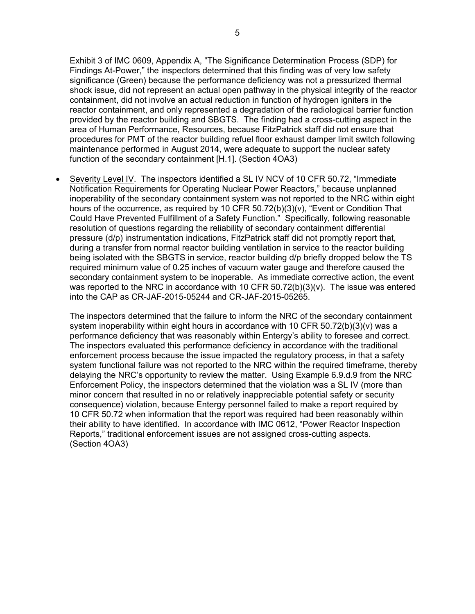Exhibit 3 of IMC 0609, Appendix A, "The Significance Determination Process (SDP) for Findings At-Power," the inspectors determined that this finding was of very low safety significance (Green) because the performance deficiency was not a pressurized thermal shock issue, did not represent an actual open pathway in the physical integrity of the reactor containment, did not involve an actual reduction in function of hydrogen igniters in the reactor containment, and only represented a degradation of the radiological barrier function provided by the reactor building and SBGTS. The finding had a cross-cutting aspect in the area of Human Performance, Resources, because FitzPatrick staff did not ensure that procedures for PMT of the reactor building refuel floor exhaust damper limit switch following maintenance performed in August 2014, were adequate to support the nuclear safety function of the secondary containment [H.1]. (Section 4OA3)

Severity Level IV. The inspectors identified a SL IV NCV of 10 CFR 50.72, "Immediate Notification Requirements for Operating Nuclear Power Reactors," because unplanned inoperability of the secondary containment system was not reported to the NRC within eight hours of the occurrence, as required by 10 CFR 50.72(b)(3)(v), "Event or Condition That Could Have Prevented Fulfillment of a Safety Function." Specifically, following reasonable resolution of questions regarding the reliability of secondary containment differential pressure (d/p) instrumentation indications, FitzPatrick staff did not promptly report that, during a transfer from normal reactor building ventilation in service to the reactor building being isolated with the SBGTS in service, reactor building d/p briefly dropped below the TS required minimum value of 0.25 inches of vacuum water gauge and therefore caused the secondary containment system to be inoperable. As immediate corrective action, the event was reported to the NRC in accordance with 10 CFR 50.72(b)(3)(v). The issue was entered into the CAP as CR-JAF-2015-05244 and CR-JAF-2015-05265.

The inspectors determined that the failure to inform the NRC of the secondary containment system inoperability within eight hours in accordance with 10 CFR 50.72(b)(3)(v) was a performance deficiency that was reasonably within Entergy's ability to foresee and correct. The inspectors evaluated this performance deficiency in accordance with the traditional enforcement process because the issue impacted the regulatory process, in that a safety system functional failure was not reported to the NRC within the required timeframe, thereby delaying the NRC's opportunity to review the matter. Using Example 6.9.d.9 from the NRC Enforcement Policy, the inspectors determined that the violation was a SL IV (more than minor concern that resulted in no or relatively inappreciable potential safety or security consequence) violation, because Entergy personnel failed to make a report required by 10 CFR 50.72 when information that the report was required had been reasonably within their ability to have identified. In accordance with IMC 0612, "Power Reactor Inspection Reports," traditional enforcement issues are not assigned cross-cutting aspects. (Section 4OA3)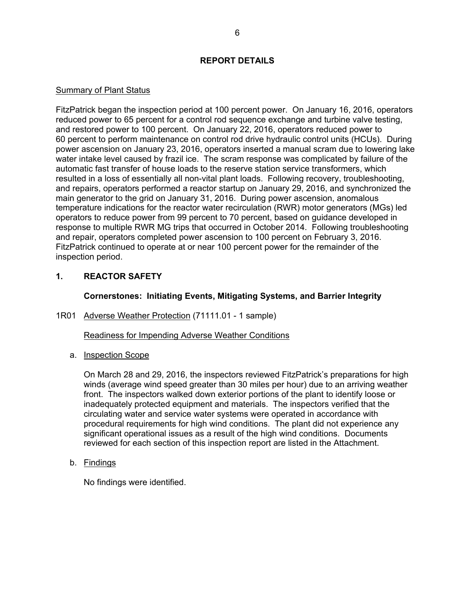## **REPORT DETAILS**

#### Summary of Plant Status

FitzPatrick began the inspection period at 100 percent power. On January 16, 2016, operators reduced power to 65 percent for a control rod sequence exchange and turbine valve testing, and restored power to 100 percent. On January 22, 2016, operators reduced power to 60 percent to perform maintenance on control rod drive hydraulic control units (HCUs). During power ascension on January 23, 2016, operators inserted a manual scram due to lowering lake water intake level caused by frazil ice. The scram response was complicated by failure of the automatic fast transfer of house loads to the reserve station service transformers, which resulted in a loss of essentially all non-vital plant loads. Following recovery, troubleshooting, and repairs, operators performed a reactor startup on January 29, 2016, and synchronized the main generator to the grid on January 31, 2016. During power ascension, anomalous temperature indications for the reactor water recirculation (RWR) motor generators (MGs) led operators to reduce power from 99 percent to 70 percent, based on guidance developed in response to multiple RWR MG trips that occurred in October 2014. Following troubleshooting and repair, operators completed power ascension to 100 percent on February 3, 2016. FitzPatrick continued to operate at or near 100 percent power for the remainder of the inspection period.

## **1. REACTOR SAFETY**

## **Cornerstones: Initiating Events, Mitigating Systems, and Barrier Integrity**

1R01 Adverse Weather Protection (71111.01 - 1 sample)

Readiness for Impending Adverse Weather Conditions

a. Inspection Scope

On March 28 and 29, 2016, the inspectors reviewed FitzPatrick's preparations for high winds (average wind speed greater than 30 miles per hour) due to an arriving weather front. The inspectors walked down exterior portions of the plant to identify loose or inadequately protected equipment and materials. The inspectors verified that the circulating water and service water systems were operated in accordance with procedural requirements for high wind conditions. The plant did not experience any significant operational issues as a result of the high wind conditions. Documents reviewed for each section of this inspection report are listed in the Attachment.

b. Findings

No findings were identified.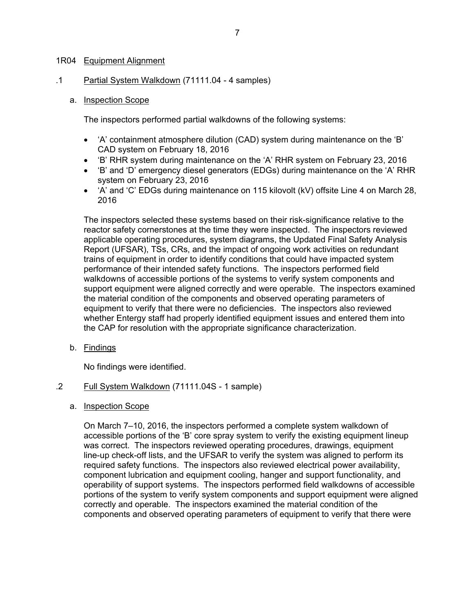#### 1R04 Equipment Alignment

.1 Partial System Walkdown (71111.04 - 4 samples)

#### a. Inspection Scope

The inspectors performed partial walkdowns of the following systems:

- 'A' containment atmosphere dilution (CAD) system during maintenance on the 'B' CAD system on February 18, 2016
- 'B' RHR system during maintenance on the 'A' RHR system on February 23, 2016
- 'B' and 'D' emergency diesel generators (EDGs) during maintenance on the 'A' RHR system on February 23, 2016
- $\bullet$  'A' and 'C' EDGs during maintenance on 115 kilovolt (kV) offsite Line 4 on March 28, 2016

The inspectors selected these systems based on their risk-significance relative to the reactor safety cornerstones at the time they were inspected. The inspectors reviewed applicable operating procedures, system diagrams, the Updated Final Safety Analysis Report (UFSAR), TSs, CRs, and the impact of ongoing work activities on redundant trains of equipment in order to identify conditions that could have impacted system performance of their intended safety functions. The inspectors performed field walkdowns of accessible portions of the systems to verify system components and support equipment were aligned correctly and were operable. The inspectors examined the material condition of the components and observed operating parameters of equipment to verify that there were no deficiencies. The inspectors also reviewed whether Entergy staff had properly identified equipment issues and entered them into the CAP for resolution with the appropriate significance characterization.

b. Findings

No findings were identified.

- .2 Full System Walkdown (71111.04S 1 sample)
	- a. Inspection Scope

On March 7–10, 2016, the inspectors performed a complete system walkdown of accessible portions of the 'B' core spray system to verify the existing equipment lineup was correct. The inspectors reviewed operating procedures, drawings, equipment line-up check-off lists, and the UFSAR to verify the system was aligned to perform its required safety functions. The inspectors also reviewed electrical power availability, component lubrication and equipment cooling, hanger and support functionality, and operability of support systems. The inspectors performed field walkdowns of accessible portions of the system to verify system components and support equipment were aligned correctly and operable. The inspectors examined the material condition of the components and observed operating parameters of equipment to verify that there were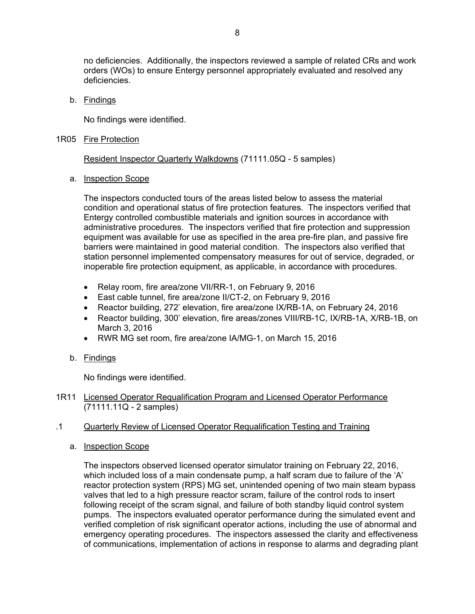no deficiencies. Additionally, the inspectors reviewed a sample of related CRs and work orders (WOs) to ensure Entergy personnel appropriately evaluated and resolved any deficiencies.

b. Findings

No findings were identified.

1R05 Fire Protection

Resident Inspector Quarterly Walkdowns (71111.05Q - 5 samples)

#### a. Inspection Scope

The inspectors conducted tours of the areas listed below to assess the material condition and operational status of fire protection features. The inspectors verified that Entergy controlled combustible materials and ignition sources in accordance with administrative procedures. The inspectors verified that fire protection and suppression equipment was available for use as specified in the area pre-fire plan, and passive fire barriers were maintained in good material condition. The inspectors also verified that station personnel implemented compensatory measures for out of service, degraded, or inoperable fire protection equipment, as applicable, in accordance with procedures.

- Relay room, fire area/zone VII/RR-1, on February 9, 2016
- East cable tunnel, fire area/zone II/CT-2, on February 9, 2016
- Reactor building, 272' elevation, fire area/zone IX/RB-1A, on February 24, 2016
- Reactor building, 300' elevation, fire areas/zones VIII/RB-1C, IX/RB-1A, X/RB-1B, on March 3, 2016
- RWR MG set room, fire area/zone IA/MG-1, on March 15, 2016
- b. Findings

No findings were identified.

1R11 Licensed Operator Requalification Program and Licensed Operator Performance (71111.11Q - 2 samples)

#### .1 Quarterly Review of Licensed Operator Requalification Testing and Training

a. Inspection Scope

The inspectors observed licensed operator simulator training on February 22, 2016, which included loss of a main condensate pump, a half scram due to failure of the 'A' reactor protection system (RPS) MG set, unintended opening of two main steam bypass valves that led to a high pressure reactor scram, failure of the control rods to insert following receipt of the scram signal, and failure of both standby liquid control system pumps. The inspectors evaluated operator performance during the simulated event and verified completion of risk significant operator actions, including the use of abnormal and emergency operating procedures. The inspectors assessed the clarity and effectiveness of communications, implementation of actions in response to alarms and degrading plant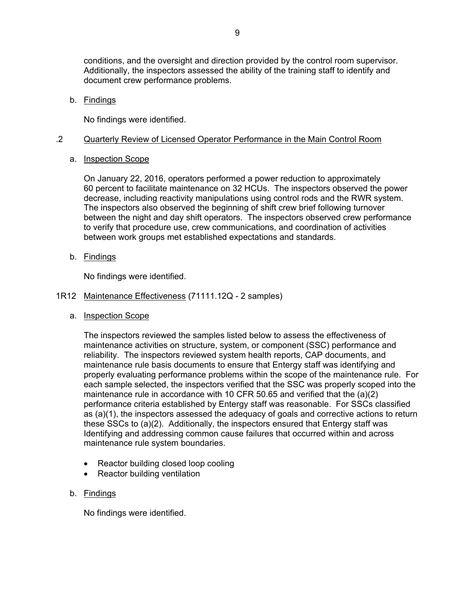conditions, and the oversight and direction provided by the control room supervisor. Additionally, the inspectors assessed the ability of the training staff to identify and document crew performance problems.

b. Findings

No findings were identified.

## .2 Quarterly Review of Licensed Operator Performance in the Main Control Room

a. Inspection Scope

On January 22, 2016, operators performed a power reduction to approximately 60 percent to facilitate maintenance on 32 HCUs. The inspectors observed the power decrease, including reactivity manipulations using control rods and the RWR system. The inspectors also observed the beginning of shift crew brief following turnover between the night and day shift operators. The inspectors observed crew performance to verify that procedure use, crew communications, and coordination of activities between work groups met established expectations and standards.

b. Findings

No findings were identified.

- 1R12 Maintenance Effectiveness (71111.12Q 2 samples)
	- a. Inspection Scope

The inspectors reviewed the samples listed below to assess the effectiveness of maintenance activities on structure, system, or component (SSC) performance and reliability. The inspectors reviewed system health reports, CAP documents, and maintenance rule basis documents to ensure that Entergy staff was identifying and properly evaluating performance problems within the scope of the maintenance rule. For each sample selected, the inspectors verified that the SSC was properly scoped into the maintenance rule in accordance with 10 CFR 50.65 and verified that the (a)(2) performance criteria established by Entergy staff was reasonable. For SSCs classified as (a)(1), the inspectors assessed the adequacy of goals and corrective actions to return these SSCs to (a)(2). Additionally, the inspectors ensured that Entergy staff was Identifying and addressing common cause failures that occurred within and across maintenance rule system boundaries.

- Reactor building closed loop cooling
- Reactor building ventilation
- b. Findings

No findings were identified.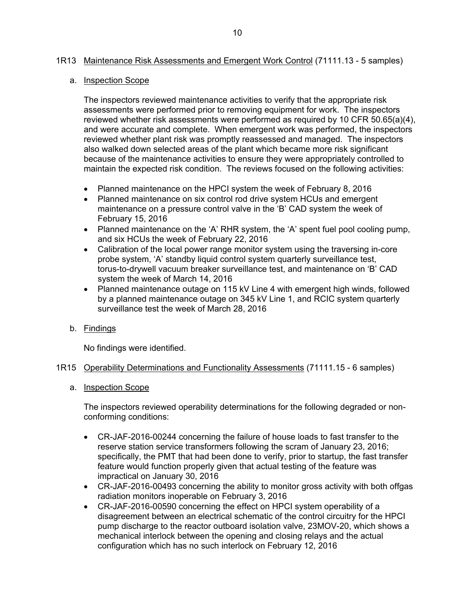#### 1R13 Maintenance Risk Assessments and Emergent Work Control (71111.13 - 5 samples)

#### a. Inspection Scope

The inspectors reviewed maintenance activities to verify that the appropriate risk assessments were performed prior to removing equipment for work. The inspectors reviewed whether risk assessments were performed as required by 10 CFR 50.65(a)(4), and were accurate and complete. When emergent work was performed, the inspectors reviewed whether plant risk was promptly reassessed and managed. The inspectors also walked down selected areas of the plant which became more risk significant because of the maintenance activities to ensure they were appropriately controlled to maintain the expected risk condition. The reviews focused on the following activities:

- Planned maintenance on the HPCI system the week of February 8, 2016
- Planned maintenance on six control rod drive system HCUs and emergent maintenance on a pressure control valve in the 'B' CAD system the week of February 15, 2016
- Planned maintenance on the 'A' RHR system, the 'A' spent fuel pool cooling pump, and six HCUs the week of February 22, 2016
- Calibration of the local power range monitor system using the traversing in-core probe system, 'A' standby liquid control system quarterly surveillance test, torus-to-drywell vacuum breaker surveillance test, and maintenance on 'B' CAD system the week of March 14, 2016
- Planned maintenance outage on 115 kV Line 4 with emergent high winds, followed by a planned maintenance outage on 345 kV Line 1, and RCIC system quarterly surveillance test the week of March 28, 2016
- b. Findings

No findings were identified.

- 1R15 Operability Determinations and Functionality Assessments (71111.15 6 samples)
	- a. Inspection Scope

The inspectors reviewed operability determinations for the following degraded or nonconforming conditions:

- CR-JAF-2016-00244 concerning the failure of house loads to fast transfer to the reserve station service transformers following the scram of January 23, 2016; specifically, the PMT that had been done to verify, prior to startup, the fast transfer feature would function properly given that actual testing of the feature was impractical on January 30, 2016
- CR-JAF-2016-00493 concerning the ability to monitor gross activity with both offgas radiation monitors inoperable on February 3, 2016
- CR-JAF-2016-00590 concerning the effect on HPCI system operability of a disagreement between an electrical schematic of the control circuitry for the HPCI pump discharge to the reactor outboard isolation valve, 23MOV-20, which shows a mechanical interlock between the opening and closing relays and the actual configuration which has no such interlock on February 12, 2016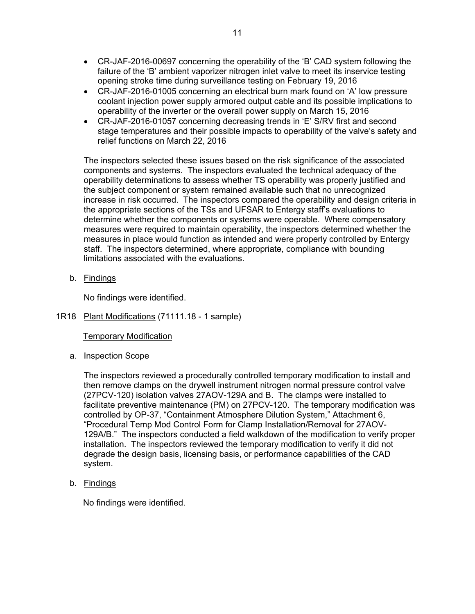- CR-JAF-2016-00697 concerning the operability of the 'B' CAD system following the failure of the 'B' ambient vaporizer nitrogen inlet valve to meet its inservice testing opening stroke time during surveillance testing on February 19, 2016
- CR-JAF-2016-01005 concerning an electrical burn mark found on 'A' low pressure coolant injection power supply armored output cable and its possible implications to operability of the inverter or the overall power supply on March 15, 2016
- CR-JAF-2016-01057 concerning decreasing trends in 'E' S/RV first and second stage temperatures and their possible impacts to operability of the valve's safety and relief functions on March 22, 2016

The inspectors selected these issues based on the risk significance of the associated components and systems. The inspectors evaluated the technical adequacy of the operability determinations to assess whether TS operability was properly justified and the subject component or system remained available such that no unrecognized increase in risk occurred. The inspectors compared the operability and design criteria in the appropriate sections of the TSs and UFSAR to Entergy staff's evaluations to determine whether the components or systems were operable. Where compensatory measures were required to maintain operability, the inspectors determined whether the measures in place would function as intended and were properly controlled by Entergy staff. The inspectors determined, where appropriate, compliance with bounding limitations associated with the evaluations.

b. Findings

No findings were identified.

1R18 Plant Modifications (71111.18 - 1 sample)

Temporary Modification

a. Inspection Scope

The inspectors reviewed a procedurally controlled temporary modification to install and then remove clamps on the drywell instrument nitrogen normal pressure control valve (27PCV-120) isolation valves 27AOV-129A and B. The clamps were installed to facilitate preventive maintenance (PM) on 27PCV-120. The temporary modification was controlled by OP-37, "Containment Atmosphere Dilution System," Attachment 6, "Procedural Temp Mod Control Form for Clamp Installation/Removal for 27AOV-129A/B." The inspectors conducted a field walkdown of the modification to verify proper installation. The inspectors reviewed the temporary modification to verify it did not degrade the design basis, licensing basis, or performance capabilities of the CAD system.

b. Findings

No findings were identified.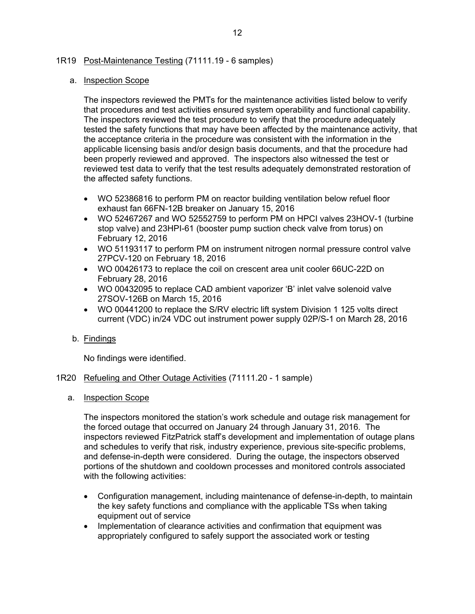#### 1R19 Post-Maintenance Testing (71111.19 - 6 samples)

#### a. Inspection Scope

The inspectors reviewed the PMTs for the maintenance activities listed below to verify that procedures and test activities ensured system operability and functional capability. The inspectors reviewed the test procedure to verify that the procedure adequately tested the safety functions that may have been affected by the maintenance activity, that the acceptance criteria in the procedure was consistent with the information in the applicable licensing basis and/or design basis documents, and that the procedure had been properly reviewed and approved. The inspectors also witnessed the test or reviewed test data to verify that the test results adequately demonstrated restoration of the affected safety functions.

- WO 52386816 to perform PM on reactor building ventilation below refuel floor exhaust fan 66FN-12B breaker on January 15, 2016
- WO 52467267 and WO 52552759 to perform PM on HPCI valves 23HOV-1 (turbine stop valve) and 23HPI-61 (booster pump suction check valve from torus) on February 12, 2016
- WO 51193117 to perform PM on instrument nitrogen normal pressure control valve 27PCV-120 on February 18, 2016
- WO 00426173 to replace the coil on crescent area unit cooler 66UC-22D on February 28, 2016
- WO 00432095 to replace CAD ambient vaporizer 'B' inlet valve solenoid valve 27SOV-126B on March 15, 2016
- WO 00441200 to replace the S/RV electric lift system Division 1 125 volts direct current (VDC) in/24 VDC out instrument power supply 02P/S-1 on March 28, 2016
- b. Findings

No findings were identified.

#### 1R20 Refueling and Other Outage Activities (71111.20 - 1 sample)

a. Inspection Scope

The inspectors monitored the station's work schedule and outage risk management for the forced outage that occurred on January 24 through January 31, 2016. The inspectors reviewed FitzPatrick staff's development and implementation of outage plans and schedules to verify that risk, industry experience, previous site-specific problems, and defense-in-depth were considered. During the outage, the inspectors observed portions of the shutdown and cooldown processes and monitored controls associated with the following activities:

- Configuration management, including maintenance of defense-in-depth, to maintain the key safety functions and compliance with the applicable TSs when taking equipment out of service
- Implementation of clearance activities and confirmation that equipment was appropriately configured to safely support the associated work or testing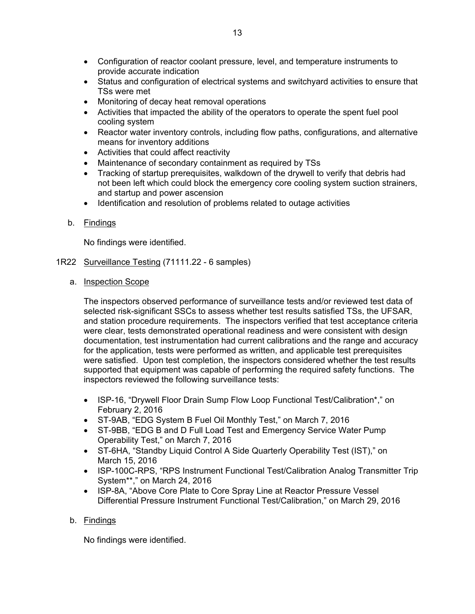- Configuration of reactor coolant pressure, level, and temperature instruments to provide accurate indication
- Status and configuration of electrical systems and switchyard activities to ensure that TSs were met
- Monitoring of decay heat removal operations
- Activities that impacted the ability of the operators to operate the spent fuel pool cooling system
- Reactor water inventory controls, including flow paths, configurations, and alternative means for inventory additions
- Activities that could affect reactivity
- Maintenance of secondary containment as required by TSs
- Tracking of startup prerequisites, walkdown of the drywell to verify that debris had not been left which could block the emergency core cooling system suction strainers, and startup and power ascension
- Identification and resolution of problems related to outage activities
- b. Findings

No findings were identified.

- 1R22 Surveillance Testing (71111.22 6 samples)
	- a. Inspection Scope

The inspectors observed performance of surveillance tests and/or reviewed test data of selected risk-significant SSCs to assess whether test results satisfied TSs, the UFSAR, and station procedure requirements. The inspectors verified that test acceptance criteria were clear, tests demonstrated operational readiness and were consistent with design documentation, test instrumentation had current calibrations and the range and accuracy for the application, tests were performed as written, and applicable test prerequisites were satisfied. Upon test completion, the inspectors considered whether the test results supported that equipment was capable of performing the required safety functions. The inspectors reviewed the following surveillance tests:

- ISP-16, "Drywell Floor Drain Sump Flow Loop Functional Test/Calibration\*," on February 2, 2016
- ST-9AB, "EDG System B Fuel Oil Monthly Test," on March 7, 2016
- ST-9BB, "EDG B and D Full Load Test and Emergency Service Water Pump Operability Test," on March 7, 2016
- ST-6HA, "Standby Liquid Control A Side Quarterly Operability Test (IST)," on March 15, 2016
- ISP-100C-RPS, "RPS Instrument Functional Test/Calibration Analog Transmitter Trip System\*\*," on March 24, 2016
- ISP-8A, "Above Core Plate to Core Spray Line at Reactor Pressure Vessel Differential Pressure Instrument Functional Test/Calibration," on March 29, 2016

## b. Findings

No findings were identified.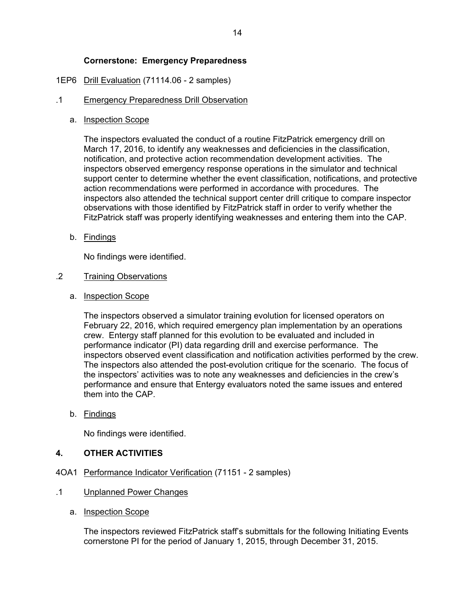## **Cornerstone: Emergency Preparedness**

## 1EP6 Drill Evaluation (71114.06 - 2 samples)

#### .1 Emergency Preparedness Drill Observation

a. Inspection Scope

The inspectors evaluated the conduct of a routine FitzPatrick emergency drill on March 17, 2016, to identify any weaknesses and deficiencies in the classification, notification, and protective action recommendation development activities. The inspectors observed emergency response operations in the simulator and technical support center to determine whether the event classification, notifications, and protective action recommendations were performed in accordance with procedures. The inspectors also attended the technical support center drill critique to compare inspector observations with those identified by FitzPatrick staff in order to verify whether the FitzPatrick staff was properly identifying weaknesses and entering them into the CAP.

b. Findings

No findings were identified.

#### .2 Training Observations

a. Inspection Scope

The inspectors observed a simulator training evolution for licensed operators on February 22, 2016, which required emergency plan implementation by an operations crew. Entergy staff planned for this evolution to be evaluated and included in performance indicator (PI) data regarding drill and exercise performance. The inspectors observed event classification and notification activities performed by the crew. The inspectors also attended the post-evolution critique for the scenario. The focus of the inspectors' activities was to note any weaknesses and deficiencies in the crew's performance and ensure that Entergy evaluators noted the same issues and entered them into the CAP.

b. Findings

No findings were identified.

## **4. OTHER ACTIVITIES**

- 4OA1 Performance Indicator Verification (71151 2 samples)
- .1 Unplanned Power Changes
	- a. Inspection Scope

The inspectors reviewed FitzPatrick staff's submittals for the following Initiating Events cornerstone PI for the period of January 1, 2015, through December 31, 2015.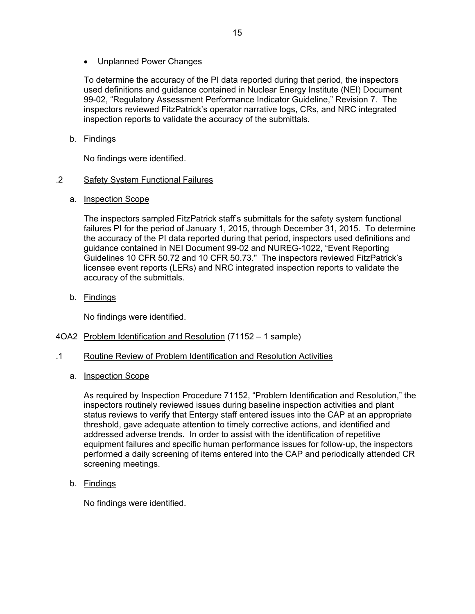Unplanned Power Changes

To determine the accuracy of the PI data reported during that period, the inspectors used definitions and guidance contained in Nuclear Energy Institute (NEI) Document 99-02, "Regulatory Assessment Performance Indicator Guideline," Revision 7. The inspectors reviewed FitzPatrick's operator narrative logs, CRs, and NRC integrated inspection reports to validate the accuracy of the submittals.

## b. Findings

No findings were identified.

## .2 Safety System Functional Failures

a. Inspection Scope

The inspectors sampled FitzPatrick staff's submittals for the safety system functional failures PI for the period of January 1, 2015, through December 31, 2015. To determine the accuracy of the PI data reported during that period, inspectors used definitions and guidance contained in NEI Document 99-02 and NUREG-1022, "Event Reporting Guidelines 10 CFR 50.72 and 10 CFR 50.73." The inspectors reviewed FitzPatrick's licensee event reports (LERs) and NRC integrated inspection reports to validate the accuracy of the submittals.

b. Findings

No findings were identified.

- 4OA2 Problem Identification and Resolution (71152 1 sample)
- .1 Routine Review of Problem Identification and Resolution Activities
	- a. Inspection Scope

As required by Inspection Procedure 71152, "Problem Identification and Resolution," the inspectors routinely reviewed issues during baseline inspection activities and plant status reviews to verify that Entergy staff entered issues into the CAP at an appropriate threshold, gave adequate attention to timely corrective actions, and identified and addressed adverse trends. In order to assist with the identification of repetitive equipment failures and specific human performance issues for follow-up, the inspectors performed a daily screening of items entered into the CAP and periodically attended CR screening meetings.

b. Findings

No findings were identified.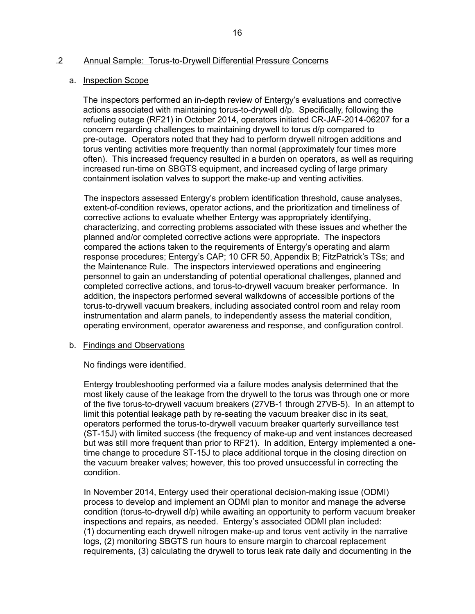## .2 Annual Sample: Torus-to-Drywell Differential Pressure Concerns

#### a. Inspection Scope

The inspectors performed an in-depth review of Entergy's evaluations and corrective actions associated with maintaining torus-to-drywell d/p. Specifically, following the refueling outage (RF21) in October 2014, operators initiated CR-JAF-2014-06207 for a concern regarding challenges to maintaining drywell to torus d/p compared to pre-outage. Operators noted that they had to perform drywell nitrogen additions and torus venting activities more frequently than normal (approximately four times more often). This increased frequency resulted in a burden on operators, as well as requiring increased run-time on SBGTS equipment, and increased cycling of large primary containment isolation valves to support the make-up and venting activities.

The inspectors assessed Entergy's problem identification threshold, cause analyses, extent-of-condition reviews, operator actions, and the prioritization and timeliness of corrective actions to evaluate whether Entergy was appropriately identifying, characterizing, and correcting problems associated with these issues and whether the planned and/or completed corrective actions were appropriate. The inspectors compared the actions taken to the requirements of Entergy's operating and alarm response procedures; Entergy's CAP; 10 CFR 50, Appendix B; FitzPatrick's TSs; and the Maintenance Rule. The inspectors interviewed operations and engineering personnel to gain an understanding of potential operational challenges, planned and completed corrective actions, and torus-to-drywell vacuum breaker performance. In addition, the inspectors performed several walkdowns of accessible portions of the torus-to-drywell vacuum breakers, including associated control room and relay room instrumentation and alarm panels, to independently assess the material condition, operating environment, operator awareness and response, and configuration control.

#### b. Findings and Observations

No findings were identified.

Entergy troubleshooting performed via a failure modes analysis determined that the most likely cause of the leakage from the drywell to the torus was through one or more of the five torus-to-drywell vacuum breakers (27VB-1 through 27VB-5). In an attempt to limit this potential leakage path by re-seating the vacuum breaker disc in its seat, operators performed the torus-to-drywell vacuum breaker quarterly surveillance test (ST-15J) with limited success (the frequency of make-up and vent instances decreased but was still more frequent than prior to RF21). In addition, Entergy implemented a onetime change to procedure ST-15J to place additional torque in the closing direction on the vacuum breaker valves; however, this too proved unsuccessful in correcting the condition.

In November 2014, Entergy used their operational decision-making issue (ODMI) process to develop and implement an ODMI plan to monitor and manage the adverse condition (torus-to-drywell d/p) while awaiting an opportunity to perform vacuum breaker inspections and repairs, as needed. Entergy's associated ODMI plan included: (1) documenting each drywell nitrogen make-up and torus vent activity in the narrative logs, (2) monitoring SBGTS run hours to ensure margin to charcoal replacement requirements, (3) calculating the drywell to torus leak rate daily and documenting in the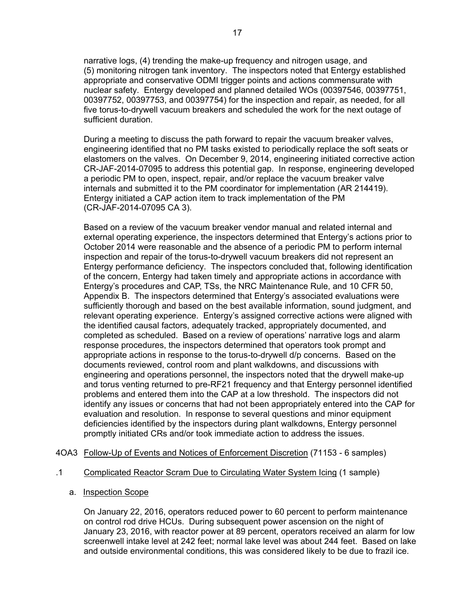narrative logs, (4) trending the make-up frequency and nitrogen usage, and (5) monitoring nitrogen tank inventory. The inspectors noted that Entergy established appropriate and conservative ODMI trigger points and actions commensurate with nuclear safety. Entergy developed and planned detailed WOs (00397546, 00397751, 00397752, 00397753, and 00397754) for the inspection and repair, as needed, for all five torus-to-drywell vacuum breakers and scheduled the work for the next outage of sufficient duration.

During a meeting to discuss the path forward to repair the vacuum breaker valves, engineering identified that no PM tasks existed to periodically replace the soft seats or elastomers on the valves. On December 9, 2014, engineering initiated corrective action CR-JAF-2014-07095 to address this potential gap. In response, engineering developed a periodic PM to open, inspect, repair, and/or replace the vacuum breaker valve internals and submitted it to the PM coordinator for implementation (AR 214419). Entergy initiated a CAP action item to track implementation of the PM (CR-JAF-2014-07095 CA 3).

Based on a review of the vacuum breaker vendor manual and related internal and external operating experience, the inspectors determined that Entergy's actions prior to October 2014 were reasonable and the absence of a periodic PM to perform internal inspection and repair of the torus-to-drywell vacuum breakers did not represent an Entergy performance deficiency. The inspectors concluded that, following identification of the concern, Entergy had taken timely and appropriate actions in accordance with Entergy's procedures and CAP, TSs, the NRC Maintenance Rule, and 10 CFR 50, Appendix B. The inspectors determined that Entergy's associated evaluations were sufficiently thorough and based on the best available information, sound judgment, and relevant operating experience. Entergy's assigned corrective actions were aligned with the identified causal factors, adequately tracked, appropriately documented, and completed as scheduled. Based on a review of operations' narrative logs and alarm response procedures, the inspectors determined that operators took prompt and appropriate actions in response to the torus-to-drywell d/p concerns. Based on the documents reviewed, control room and plant walkdowns, and discussions with engineering and operations personnel, the inspectors noted that the drywell make-up and torus venting returned to pre-RF21 frequency and that Entergy personnel identified problems and entered them into the CAP at a low threshold. The inspectors did not identify any issues or concerns that had not been appropriately entered into the CAP for evaluation and resolution. In response to several questions and minor equipment deficiencies identified by the inspectors during plant walkdowns, Entergy personnel promptly initiated CRs and/or took immediate action to address the issues.

#### 4OA3 Follow-Up of Events and Notices of Enforcement Discretion (71153 - 6 samples)

#### .1 Complicated Reactor Scram Due to Circulating Water System Icing (1 sample)

#### a. Inspection Scope

On January 22, 2016, operators reduced power to 60 percent to perform maintenance on control rod drive HCUs. During subsequent power ascension on the night of January 23, 2016, with reactor power at 89 percent, operators received an alarm for low screenwell intake level at 242 feet; normal lake level was about 244 feet. Based on lake and outside environmental conditions, this was considered likely to be due to frazil ice.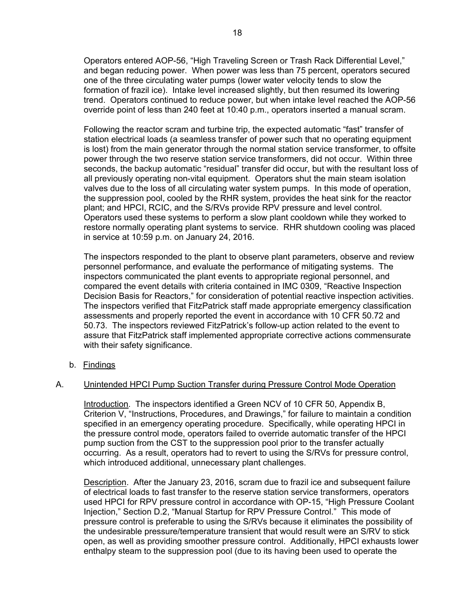Operators entered AOP-56, "High Traveling Screen or Trash Rack Differential Level," and began reducing power. When power was less than 75 percent, operators secured one of the three circulating water pumps (lower water velocity tends to slow the formation of frazil ice). Intake level increased slightly, but then resumed its lowering trend. Operators continued to reduce power, but when intake level reached the AOP-56 override point of less than 240 feet at 10:40 p.m., operators inserted a manual scram.

Following the reactor scram and turbine trip, the expected automatic "fast" transfer of station electrical loads (a seamless transfer of power such that no operating equipment is lost) from the main generator through the normal station service transformer, to offsite power through the two reserve station service transformers, did not occur. Within three seconds, the backup automatic "residual" transfer did occur, but with the resultant loss of all previously operating non-vital equipment. Operators shut the main steam isolation valves due to the loss of all circulating water system pumps. In this mode of operation, the suppression pool, cooled by the RHR system, provides the heat sink for the reactor plant; and HPCI, RCIC, and the S/RVs provide RPV pressure and level control. Operators used these systems to perform a slow plant cooldown while they worked to restore normally operating plant systems to service. RHR shutdown cooling was placed in service at 10:59 p.m. on January 24, 2016.

The inspectors responded to the plant to observe plant parameters, observe and review personnel performance, and evaluate the performance of mitigating systems. The inspectors communicated the plant events to appropriate regional personnel, and compared the event details with criteria contained in IMC 0309, "Reactive Inspection Decision Basis for Reactors," for consideration of potential reactive inspection activities. The inspectors verified that FitzPatrick staff made appropriate emergency classification assessments and properly reported the event in accordance with 10 CFR 50.72 and 50.73. The inspectors reviewed FitzPatrick's follow-up action related to the event to assure that FitzPatrick staff implemented appropriate corrective actions commensurate with their safety significance.

b. Findings

#### A. Unintended HPCI Pump Suction Transfer during Pressure Control Mode Operation

Introduction. The inspectors identified a Green NCV of 10 CFR 50, Appendix B, Criterion V, "Instructions, Procedures, and Drawings," for failure to maintain a condition specified in an emergency operating procedure. Specifically, while operating HPCI in the pressure control mode, operators failed to override automatic transfer of the HPCI pump suction from the CST to the suppression pool prior to the transfer actually occurring. As a result, operators had to revert to using the S/RVs for pressure control, which introduced additional, unnecessary plant challenges.

Description. After the January 23, 2016, scram due to frazil ice and subsequent failure of electrical loads to fast transfer to the reserve station service transformers, operators used HPCI for RPV pressure control in accordance with OP-15, "High Pressure Coolant Injection," Section D.2, "Manual Startup for RPV Pressure Control." This mode of pressure control is preferable to using the S/RVs because it eliminates the possibility of the undesirable pressure/temperature transient that would result were an S/RV to stick open, as well as providing smoother pressure control. Additionally, HPCI exhausts lower enthalpy steam to the suppression pool (due to its having been used to operate the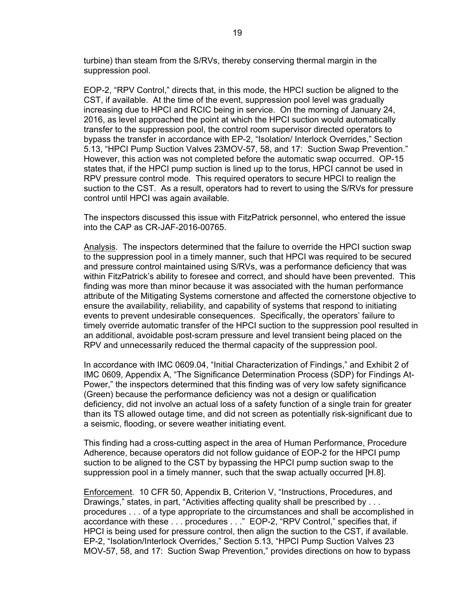turbine) than steam from the S/RVs, thereby conserving thermal margin in the suppression pool.

EOP-2, "RPV Control," directs that, in this mode, the HPCI suction be aligned to the CST, if available. At the time of the event, suppression pool level was gradually increasing due to HPCI and RCIC being in service. On the morning of January 24, 2016, as level approached the point at which the HPCI suction would automatically transfer to the suppression pool, the control room supervisor directed operators to bypass the transfer in accordance with EP-2, "Isolation/ Interlock Overrides," Section 5.13, "HPCI Pump Suction Valves 23MOV-57, 58, and 17: Suction Swap Prevention." However, this action was not completed before the automatic swap occurred. OP-15 states that, if the HPCI pump suction is lined up to the torus, HPCI cannot be used in RPV pressure control mode. This required operators to secure HPCI to realign the suction to the CST. As a result, operators had to revert to using the S/RVs for pressure control until HPCI was again available.

The inspectors discussed this issue with FitzPatrick personnel, who entered the issue into the CAP as CR-JAF-2016-00765.

Analysis. The inspectors determined that the failure to override the HPCI suction swap to the suppression pool in a timely manner, such that HPCI was required to be secured and pressure control maintained using S/RVs, was a performance deficiency that was within FitzPatrick's ability to foresee and correct, and should have been prevented. This finding was more than minor because it was associated with the human performance attribute of the Mitigating Systems cornerstone and affected the cornerstone objective to ensure the availability, reliability, and capability of systems that respond to initiating events to prevent undesirable consequences. Specifically, the operators' failure to timely override automatic transfer of the HPCI suction to the suppression pool resulted in an additional, avoidable post-scram pressure and level transient being placed on the RPV and unnecessarily reduced the thermal capacity of the suppression pool.

In accordance with IMC 0609.04, "Initial Characterization of Findings," and Exhibit 2 of IMC 0609, Appendix A, "The Significance Determination Process (SDP) for Findings At-Power," the inspectors determined that this finding was of very low safety significance (Green) because the performance deficiency was not a design or qualification deficiency, did not involve an actual loss of a safety function of a single train for greater than its TS allowed outage time, and did not screen as potentially risk-significant due to a seismic, flooding, or severe weather initiating event.

This finding had a cross-cutting aspect in the area of Human Performance, Procedure Adherence, because operators did not follow guidance of EOP-2 for the HPCI pump suction to be aligned to the CST by bypassing the HPCI pump suction swap to the suppression pool in a timely manner, such that the swap actually occurred [H.8].

Enforcement. 10 CFR 50, Appendix B, Criterion V, "Instructions, Procedures, and Drawings," states, in part, "Activities affecting quality shall be prescribed by . . . procedures . . . of a type appropriate to the circumstances and shall be accomplished in accordance with these . . . procedures . . ." EOP-2, "RPV Control," specifies that, if HPCI is being used for pressure control, then align the suction to the CST, if available. EP-2, "Isolation/Interlock Overrides," Section 5.13, "HPCI Pump Suction Valves 23 MOV-57, 58, and 17: Suction Swap Prevention," provides directions on how to bypass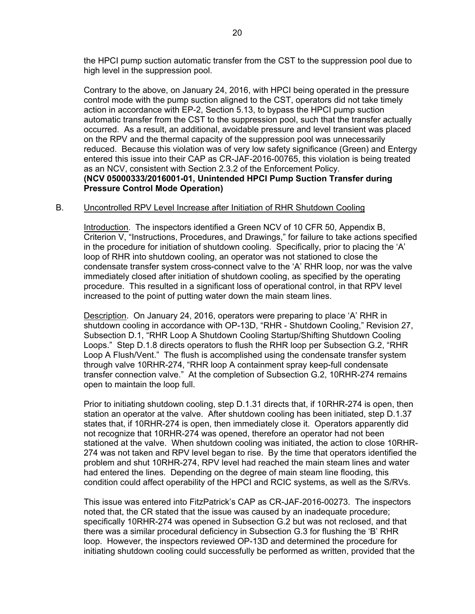the HPCI pump suction automatic transfer from the CST to the suppression pool due to high level in the suppression pool.

Contrary to the above, on January 24, 2016, with HPCI being operated in the pressure control mode with the pump suction aligned to the CST, operators did not take timely action in accordance with EP-2, Section 5.13, to bypass the HPCI pump suction automatic transfer from the CST to the suppression pool, such that the transfer actually occurred. As a result, an additional, avoidable pressure and level transient was placed on the RPV and the thermal capacity of the suppression pool was unnecessarily reduced. Because this violation was of very low safety significance (Green) and Entergy entered this issue into their CAP as CR-JAF-2016-00765, this violation is being treated as an NCV, consistent with Section 2.3.2 of the Enforcement Policy. **(NCV 05000333/2016001-01, Unintended HPCI Pump Suction Transfer during Pressure Control Mode Operation)**

#### B. Uncontrolled RPV Level Increase after Initiation of RHR Shutdown Cooling

Introduction. The inspectors identified a Green NCV of 10 CFR 50, Appendix B, Criterion V, "Instructions, Procedures, and Drawings," for failure to take actions specified in the procedure for initiation of shutdown cooling. Specifically, prior to placing the 'A' loop of RHR into shutdown cooling, an operator was not stationed to close the condensate transfer system cross-connect valve to the 'A' RHR loop, nor was the valve immediately closed after initiation of shutdown cooling, as specified by the operating procedure. This resulted in a significant loss of operational control, in that RPV level increased to the point of putting water down the main steam lines.

Description. On January 24, 2016, operators were preparing to place 'A' RHR in shutdown cooling in accordance with OP-13D, "RHR - Shutdown Cooling," Revision 27, Subsection D.1, "RHR Loop A Shutdown Cooling Startup/Shifting Shutdown Cooling Loops." Step D.1.8 directs operators to flush the RHR loop per Subsection G.2, "RHR Loop A Flush/Vent." The flush is accomplished using the condensate transfer system through valve 10RHR-274, "RHR loop A containment spray keep-full condensate transfer connection valve." At the completion of Subsection G.2, 10RHR-274 remains open to maintain the loop full.

Prior to initiating shutdown cooling, step D.1.31 directs that, if 10RHR-274 is open, then station an operator at the valve. After shutdown cooling has been initiated, step D.1.37 states that, if 10RHR-274 is open, then immediately close it. Operators apparently did not recognize that 10RHR-274 was opened, therefore an operator had not been stationed at the valve. When shutdown cooling was initiated, the action to close 10RHR-274 was not taken and RPV level began to rise. By the time that operators identified the problem and shut 10RHR-274, RPV level had reached the main steam lines and water had entered the lines. Depending on the degree of main steam line flooding, this condition could affect operability of the HPCI and RCIC systems, as well as the S/RVs.

This issue was entered into FitzPatrick's CAP as CR-JAF-2016-00273. The inspectors noted that, the CR stated that the issue was caused by an inadequate procedure; specifically 10RHR-274 was opened in Subsection G.2 but was not reclosed, and that there was a similar procedural deficiency in Subsection G.3 for flushing the 'B' RHR loop. However, the inspectors reviewed OP-13D and determined the procedure for initiating shutdown cooling could successfully be performed as written, provided that the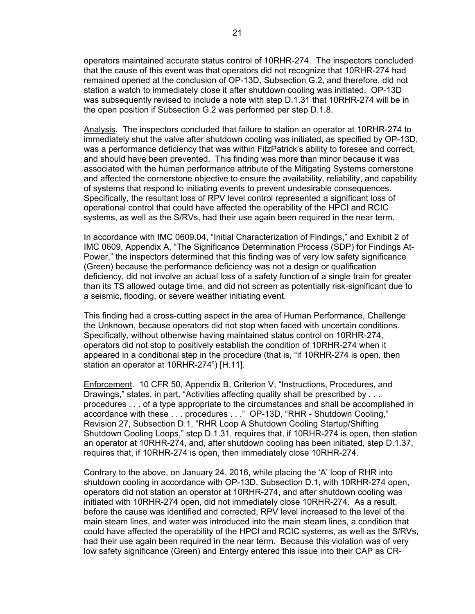operators maintained accurate status control of 10RHR-274. The inspectors concluded that the cause of this event was that operators did not recognize that 10RHR-274 had remained opened at the conclusion of OP-13D, Subsection G.2, and therefore, did not station a watch to immediately close it after shutdown cooling was initiated. OP-13D was subsequently revised to include a note with step D.1.31 that 10RHR-274 will be in the open position if Subsection G.2 was performed per step D.1.8.

Analysis. The inspectors concluded that failure to station an operator at 10RHR-274 to immediately shut the valve after shutdown cooling was initiated, as specified by OP-13D, was a performance deficiency that was within FitzPatrick's ability to foresee and correct, and should have been prevented. This finding was more than minor because it was associated with the human performance attribute of the Mitigating Systems cornerstone and affected the cornerstone objective to ensure the availability, reliability, and capability of systems that respond to initiating events to prevent undesirable consequences. Specifically, the resultant loss of RPV level control represented a significant loss of operational control that could have affected the operability of the HPCI and RCIC systems, as well as the S/RVs, had their use again been required in the near term.

In accordance with IMC 0609.04, "Initial Characterization of Findings," and Exhibit 2 of IMC 0609, Appendix A, "The Significance Determination Process (SDP) for Findings At-Power," the inspectors determined that this finding was of very low safety significance (Green) because the performance deficiency was not a design or qualification deficiency, did not involve an actual loss of a safety function of a single train for greater than its TS allowed outage time, and did not screen as potentially risk-significant due to a seismic, flooding, or severe weather initiating event.

This finding had a cross-cutting aspect in the area of Human Performance, Challenge the Unknown, because operators did not stop when faced with uncertain conditions. Specifically, without otherwise having maintained status control on 10RHR-274, operators did not stop to positively establish the condition of 10RHR-274 when it appeared in a conditional step in the procedure (that is, "if 10RHR-274 is open, then station an operator at 10RHR-274") [H.11].

Enforcement. 10 CFR 50, Appendix B, Criterion V, "Instructions, Procedures, and Drawings," states, in part, "Activities affecting quality shall be prescribed by . . . procedures . . . of a type appropriate to the circumstances and shall be accomplished in accordance with these . . . procedures . . ." OP-13D, "RHR - Shutdown Cooling," Revision 27, Subsection D.1, "RHR Loop A Shutdown Cooling Startup/Shifting Shutdown Cooling Loops," step D.1.31, requires that, if 10RHR-274 is open, then station an operator at 10RHR-274, and, after shutdown cooling has been initiated, step D.1.37, requires that, if 10RHR-274 is open, then immediately close 10RHR-274.

Contrary to the above, on January 24, 2016, while placing the 'A' loop of RHR into shutdown cooling in accordance with OP-13D, Subsection D.1, with 10RHR-274 open, operators did not station an operator at 10RHR-274, and after shutdown cooling was initiated with 10RHR-274 open, did not immediately close 10RHR-274. As a result, before the cause was identified and corrected, RPV level increased to the level of the main steam lines, and water was introduced into the main steam lines, a condition that could have affected the operability of the HPCI and RCIC systems, as well as the S/RVs, had their use again been required in the near term. Because this violation was of very low safety significance (Green) and Entergy entered this issue into their CAP as CR-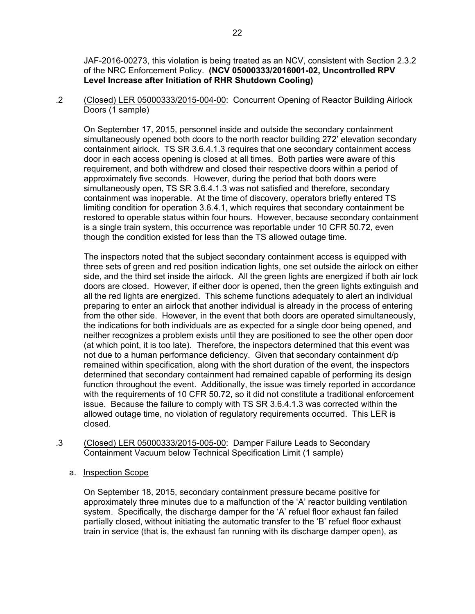JAF-2016-00273, this violation is being treated as an NCV, consistent with Section 2.3.2 of the NRC Enforcement Policy. **(NCV 05000333/2016001-02, Uncontrolled RPV Level Increase after Initiation of RHR Shutdown Cooling)**

.2 (Closed) LER 05000333/2015-004-00: Concurrent Opening of Reactor Building Airlock Doors (1 sample)

On September 17, 2015, personnel inside and outside the secondary containment simultaneously opened both doors to the north reactor building 272' elevation secondary containment airlock. TS SR 3.6.4.1.3 requires that one secondary containment access door in each access opening is closed at all times. Both parties were aware of this requirement, and both withdrew and closed their respective doors within a period of approximately five seconds. However, during the period that both doors were simultaneously open, TS SR 3.6.4.1.3 was not satisfied and therefore, secondary containment was inoperable. At the time of discovery, operators briefly entered TS limiting condition for operation 3.6.4.1, which requires that secondary containment be restored to operable status within four hours. However, because secondary containment is a single train system, this occurrence was reportable under 10 CFR 50.72, even though the condition existed for less than the TS allowed outage time.

The inspectors noted that the subject secondary containment access is equipped with three sets of green and red position indication lights, one set outside the airlock on either side, and the third set inside the airlock. All the green lights are energized if both air lock doors are closed. However, if either door is opened, then the green lights extinguish and all the red lights are energized. This scheme functions adequately to alert an individual preparing to enter an airlock that another individual is already in the process of entering from the other side. However, in the event that both doors are operated simultaneously, the indications for both individuals are as expected for a single door being opened, and neither recognizes a problem exists until they are positioned to see the other open door (at which point, it is too late). Therefore, the inspectors determined that this event was not due to a human performance deficiency. Given that secondary containment d/p remained within specification, along with the short duration of the event, the inspectors determined that secondary containment had remained capable of performing its design function throughout the event. Additionally, the issue was timely reported in accordance with the requirements of 10 CFR 50.72, so it did not constitute a traditional enforcement issue. Because the failure to comply with TS SR 3.6.4.1.3 was corrected within the allowed outage time, no violation of regulatory requirements occurred. This LER is closed.

- .3 (Closed) LER 05000333/2015-005-00: Damper Failure Leads to Secondary Containment Vacuum below Technical Specification Limit (1 sample)
	- a. Inspection Scope

On September 18, 2015, secondary containment pressure became positive for approximately three minutes due to a malfunction of the 'A' reactor building ventilation system. Specifically, the discharge damper for the 'A' refuel floor exhaust fan failed partially closed, without initiating the automatic transfer to the 'B' refuel floor exhaust train in service (that is, the exhaust fan running with its discharge damper open), as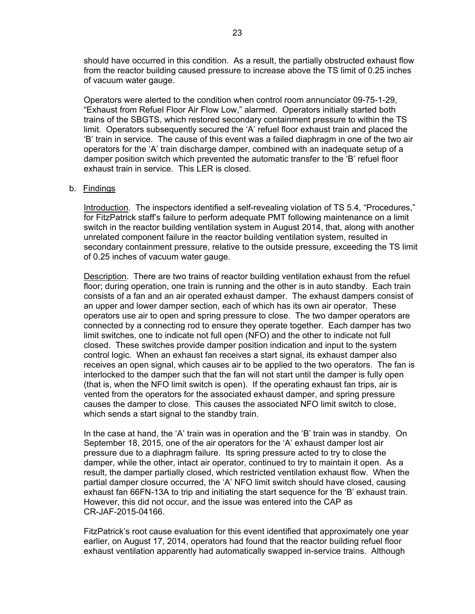should have occurred in this condition. As a result, the partially obstructed exhaust flow from the reactor building caused pressure to increase above the TS limit of 0.25 inches of vacuum water gauge.

Operators were alerted to the condition when control room annunciator 09-75-1-29, "Exhaust from Refuel Floor Air Flow Low," alarmed. Operators initially started both trains of the SBGTS, which restored secondary containment pressure to within the TS limit. Operators subsequently secured the 'A' refuel floor exhaust train and placed the 'B' train in service. The cause of this event was a failed diaphragm in one of the two air operators for the 'A' train discharge damper, combined with an inadequate setup of a damper position switch which prevented the automatic transfer to the 'B' refuel floor exhaust train in service. This LER is closed.

#### b. Findings

Introduction. The inspectors identified a self-revealing violation of TS 5.4, "Procedures," for FitzPatrick staff's failure to perform adequate PMT following maintenance on a limit switch in the reactor building ventilation system in August 2014, that, along with another unrelated component failure in the reactor building ventilation system, resulted in secondary containment pressure, relative to the outside pressure, exceeding the TS limit of 0.25 inches of vacuum water gauge.

Description. There are two trains of reactor building ventilation exhaust from the refuel floor; during operation, one train is running and the other is in auto standby. Each train consists of a fan and an air operated exhaust damper. The exhaust dampers consist of an upper and lower damper section, each of which has its own air operator. These operators use air to open and spring pressure to close. The two damper operators are connected by a connecting rod to ensure they operate together. Each damper has two limit switches, one to indicate not full open (NFO) and the other to indicate not full closed. These switches provide damper position indication and input to the system control logic. When an exhaust fan receives a start signal, its exhaust damper also receives an open signal, which causes air to be applied to the two operators. The fan is interlocked to the damper such that the fan will not start until the damper is fully open (that is, when the NFO limit switch is open). If the operating exhaust fan trips, air is vented from the operators for the associated exhaust damper, and spring pressure causes the damper to close. This causes the associated NFO limit switch to close, which sends a start signal to the standby train.

In the case at hand, the 'A' train was in operation and the 'B' train was in standby. On September 18, 2015, one of the air operators for the 'A' exhaust damper lost air pressure due to a diaphragm failure. Its spring pressure acted to try to close the damper, while the other, intact air operator, continued to try to maintain it open. As a result, the damper partially closed, which restricted ventilation exhaust flow. When the partial damper closure occurred, the 'A' NFO limit switch should have closed, causing exhaust fan 66FN-13A to trip and initiating the start sequence for the 'B' exhaust train. However, this did not occur, and the issue was entered into the CAP as CR-JAF-2015-04166.

FitzPatrick's root cause evaluation for this event identified that approximately one year earlier, on August 17, 2014, operators had found that the reactor building refuel floor exhaust ventilation apparently had automatically swapped in-service trains. Although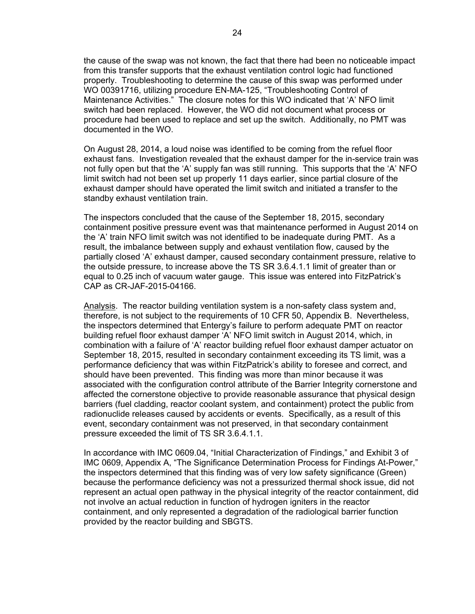the cause of the swap was not known, the fact that there had been no noticeable impact from this transfer supports that the exhaust ventilation control logic had functioned properly. Troubleshooting to determine the cause of this swap was performed under WO 00391716, utilizing procedure EN-MA-125, "Troubleshooting Control of Maintenance Activities." The closure notes for this WO indicated that 'A' NFO limit switch had been replaced. However, the WO did not document what process or procedure had been used to replace and set up the switch. Additionally, no PMT was documented in the WO.

On August 28, 2014, a loud noise was identified to be coming from the refuel floor exhaust fans. Investigation revealed that the exhaust damper for the in-service train was not fully open but that the 'A' supply fan was still running. This supports that the 'A' NFO limit switch had not been set up properly 11 days earlier, since partial closure of the exhaust damper should have operated the limit switch and initiated a transfer to the standby exhaust ventilation train.

The inspectors concluded that the cause of the September 18, 2015, secondary containment positive pressure event was that maintenance performed in August 2014 on the 'A' train NFO limit switch was not identified to be inadequate during PMT. As a result, the imbalance between supply and exhaust ventilation flow, caused by the partially closed 'A' exhaust damper, caused secondary containment pressure, relative to the outside pressure, to increase above the TS SR 3.6.4.1.1 limit of greater than or equal to 0.25 inch of vacuum water gauge. This issue was entered into FitzPatrick's CAP as CR-JAF-2015-04166.

Analysis. The reactor building ventilation system is a non-safety class system and, therefore, is not subject to the requirements of 10 CFR 50, Appendix B. Nevertheless, the inspectors determined that Entergy's failure to perform adequate PMT on reactor building refuel floor exhaust damper 'A' NFO limit switch in August 2014, which, in combination with a failure of 'A' reactor building refuel floor exhaust damper actuator on September 18, 2015, resulted in secondary containment exceeding its TS limit, was a performance deficiency that was within FitzPatrick's ability to foresee and correct, and should have been prevented. This finding was more than minor because it was associated with the configuration control attribute of the Barrier Integrity cornerstone and affected the cornerstone objective to provide reasonable assurance that physical design barriers (fuel cladding, reactor coolant system, and containment) protect the public from radionuclide releases caused by accidents or events. Specifically, as a result of this event, secondary containment was not preserved, in that secondary containment pressure exceeded the limit of TS SR 3.6.4.1.1.

In accordance with IMC 0609.04, "Initial Characterization of Findings," and Exhibit 3 of IMC 0609, Appendix A, "The Significance Determination Process for Findings At-Power," the inspectors determined that this finding was of very low safety significance (Green) because the performance deficiency was not a pressurized thermal shock issue, did not represent an actual open pathway in the physical integrity of the reactor containment, did not involve an actual reduction in function of hydrogen igniters in the reactor containment, and only represented a degradation of the radiological barrier function provided by the reactor building and SBGTS.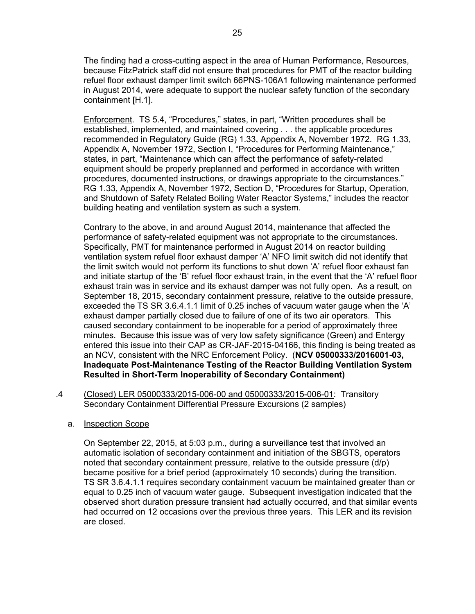The finding had a cross-cutting aspect in the area of Human Performance, Resources, because FitzPatrick staff did not ensure that procedures for PMT of the reactor building refuel floor exhaust damper limit switch 66PNS-106A1 following maintenance performed in August 2014, were adequate to support the nuclear safety function of the secondary containment [H.1].

Enforcement. TS 5.4, "Procedures," states, in part, "Written procedures shall be established, implemented, and maintained covering . . . the applicable procedures recommended in Regulatory Guide (RG) 1.33, Appendix A, November 1972. RG 1.33, Appendix A, November 1972, Section I, "Procedures for Performing Maintenance," states, in part, "Maintenance which can affect the performance of safety-related equipment should be properly preplanned and performed in accordance with written procedures, documented instructions, or drawings appropriate to the circumstances." RG 1.33, Appendix A, November 1972, Section D, "Procedures for Startup, Operation, and Shutdown of Safety Related Boiling Water Reactor Systems," includes the reactor building heating and ventilation system as such a system.

Contrary to the above, in and around August 2014, maintenance that affected the performance of safety-related equipment was not appropriate to the circumstances. Specifically, PMT for maintenance performed in August 2014 on reactor building ventilation system refuel floor exhaust damper 'A' NFO limit switch did not identify that the limit switch would not perform its functions to shut down 'A' refuel floor exhaust fan and initiate startup of the 'B' refuel floor exhaust train, in the event that the 'A' refuel floor exhaust train was in service and its exhaust damper was not fully open. As a result, on September 18, 2015, secondary containment pressure, relative to the outside pressure, exceeded the TS SR 3.6.4.1.1 limit of 0.25 inches of vacuum water gauge when the 'A' exhaust damper partially closed due to failure of one of its two air operators. This caused secondary containment to be inoperable for a period of approximately three minutes. Because this issue was of very low safety significance (Green) and Entergy entered this issue into their CAP as CR-JAF-2015-04166, this finding is being treated as an NCV, consistent with the NRC Enforcement Policy. (**NCV 05000333/2016001-03, Inadequate Post-Maintenance Testing of the Reactor Building Ventilation System Resulted in Short-Term Inoperability of Secondary Containment)**

.4 (Closed) LER 05000333/2015-006-00 and 05000333/2015-006-01: Transitory Secondary Containment Differential Pressure Excursions (2 samples)

#### a. Inspection Scope

On September 22, 2015, at 5:03 p.m., during a surveillance test that involved an automatic isolation of secondary containment and initiation of the SBGTS, operators noted that secondary containment pressure, relative to the outside pressure (d/p) became positive for a brief period (approximately 10 seconds) during the transition. TS SR 3.6.4.1.1 requires secondary containment vacuum be maintained greater than or equal to 0.25 inch of vacuum water gauge. Subsequent investigation indicated that the observed short duration pressure transient had actually occurred, and that similar events had occurred on 12 occasions over the previous three years. This LER and its revision are closed.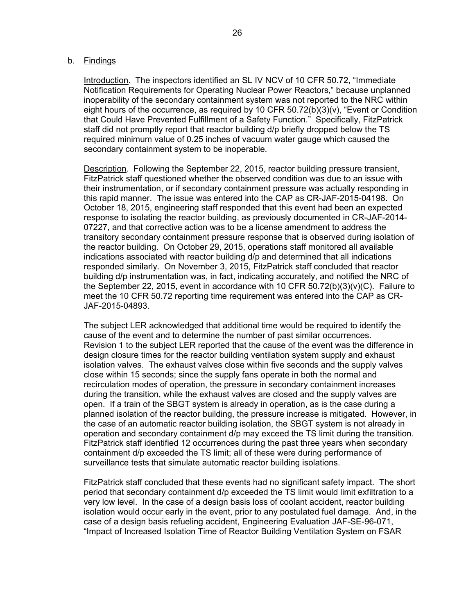#### b. Findings

Introduction. The inspectors identified an SL IV NCV of 10 CFR 50.72, "Immediate Notification Requirements for Operating Nuclear Power Reactors," because unplanned inoperability of the secondary containment system was not reported to the NRC within eight hours of the occurrence, as required by 10 CFR 50.72(b)(3)(v), "Event or Condition that Could Have Prevented Fulfillment of a Safety Function." Specifically, FitzPatrick staff did not promptly report that reactor building d/p briefly dropped below the TS required minimum value of 0.25 inches of vacuum water gauge which caused the secondary containment system to be inoperable.

Description. Following the September 22, 2015, reactor building pressure transient, FitzPatrick staff questioned whether the observed condition was due to an issue with their instrumentation, or if secondary containment pressure was actually responding in this rapid manner. The issue was entered into the CAP as CR-JAF-2015-04198. On October 18, 2015, engineering staff responded that this event had been an expected response to isolating the reactor building, as previously documented in CR-JAF-2014- 07227, and that corrective action was to be a license amendment to address the transitory secondary containment pressure response that is observed during isolation of the reactor building. On October 29, 2015, operations staff monitored all available indications associated with reactor building d/p and determined that all indications responded similarly. On November 3, 2015, FitzPatrick staff concluded that reactor building d/p instrumentation was, in fact, indicating accurately, and notified the NRC of the September 22, 2015, event in accordance with 10 CFR 50.72(b)(3)(v)(C). Failure to meet the 10 CFR 50.72 reporting time requirement was entered into the CAP as CR-JAF-2015-04893.

The subject LER acknowledged that additional time would be required to identify the cause of the event and to determine the number of past similar occurrences. Revision 1 to the subject LER reported that the cause of the event was the difference in design closure times for the reactor building ventilation system supply and exhaust isolation valves. The exhaust valves close within five seconds and the supply valves close within 15 seconds; since the supply fans operate in both the normal and recirculation modes of operation, the pressure in secondary containment increases during the transition, while the exhaust valves are closed and the supply valves are open. If a train of the SBGT system is already in operation, as is the case during a planned isolation of the reactor building, the pressure increase is mitigated. However, in the case of an automatic reactor building isolation, the SBGT system is not already in operation and secondary containment d/p may exceed the TS limit during the transition. FitzPatrick staff identified 12 occurrences during the past three years when secondary containment d/p exceeded the TS limit; all of these were during performance of surveillance tests that simulate automatic reactor building isolations.

FitzPatrick staff concluded that these events had no significant safety impact. The short period that secondary containment d/p exceeded the TS limit would limit exfiltration to a very low level. In the case of a design basis loss of coolant accident, reactor building isolation would occur early in the event, prior to any postulated fuel damage. And, in the case of a design basis refueling accident, Engineering Evaluation JAF-SE-96-071, "Impact of Increased Isolation Time of Reactor Building Ventilation System on FSAR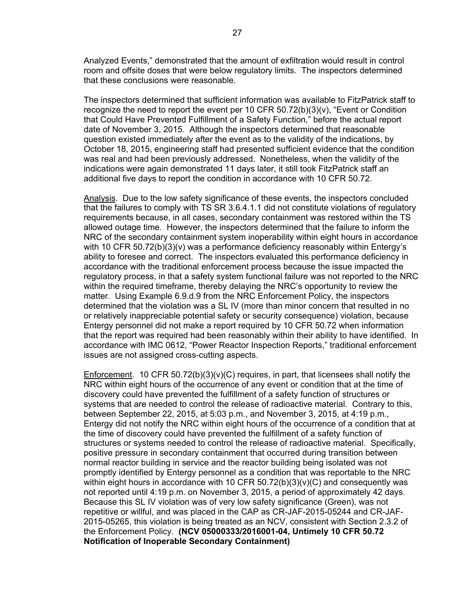Analyzed Events," demonstrated that the amount of exfiltration would result in control room and offsite doses that were below regulatory limits. The inspectors determined that these conclusions were reasonable.

The inspectors determined that sufficient information was available to FitzPatrick staff to recognize the need to report the event per 10 CFR  $50.72(b)(3)(v)$ , "Event or Condition that Could Have Prevented Fulfillment of a Safety Function," before the actual report date of November 3, 2015. Although the inspectors determined that reasonable question existed immediately after the event as to the validity of the indications, by October 18, 2015, engineering staff had presented sufficient evidence that the condition was real and had been previously addressed. Nonetheless, when the validity of the indications were again demonstrated 11 days later, it still took FitzPatrick staff an additional five days to report the condition in accordance with 10 CFR 50.72.

Analysis. Due to the low safety significance of these events, the inspectors concluded that the failures to comply with TS SR 3.6.4.1.1 did not constitute violations of regulatory requirements because, in all cases, secondary containment was restored within the TS allowed outage time. However, the inspectors determined that the failure to inform the NRC of the secondary containment system inoperability within eight hours in accordance with 10 CFR 50.72(b)(3)(v) was a performance deficiency reasonably within Entergy's ability to foresee and correct. The inspectors evaluated this performance deficiency in accordance with the traditional enforcement process because the issue impacted the regulatory process, in that a safety system functional failure was not reported to the NRC within the required timeframe, thereby delaying the NRC's opportunity to review the matter. Using Example 6.9.d.9 from the NRC Enforcement Policy, the inspectors determined that the violation was a SL IV (more than minor concern that resulted in no or relatively inappreciable potential safety or security consequence) violation, because Entergy personnel did not make a report required by 10 CFR 50.72 when information that the report was required had been reasonably within their ability to have identified. In accordance with IMC 0612, "Power Reactor Inspection Reports," traditional enforcement issues are not assigned cross-cutting aspects.

Enforcement. 10 CFR 50.72(b)(3)(v)(C) requires, in part, that licensees shall notify the NRC within eight hours of the occurrence of any event or condition that at the time of discovery could have prevented the fulfillment of a safety function of structures or systems that are needed to control the release of radioactive material. Contrary to this, between September 22, 2015, at 5:03 p.m., and November 3, 2015, at 4:19 p.m., Entergy did not notify the NRC within eight hours of the occurrence of a condition that at the time of discovery could have prevented the fulfillment of a safety function of structures or systems needed to control the release of radioactive material. Specifically, positive pressure in secondary containment that occurred during transition between normal reactor building in service and the reactor building being isolated was not promptly identified by Entergy personnel as a condition that was reportable to the NRC within eight hours in accordance with 10 CFR  $50.72(b)(3)(v)(C)$  and consequently was not reported until 4:19 p.m. on November 3, 2015, a period of approximately 42 days. Because this SL IV violation was of very low safety significance (Green), was not repetitive or willful, and was placed in the CAP as CR-JAF-2015-05244 and CR-JAF-2015-05265, this violation is being treated as an NCV, consistent with Section 2.3.2 of the Enforcement Policy. **(NCV 05000333/2016001-04, Untimely 10 CFR 50.72 Notification of Inoperable Secondary Containment)**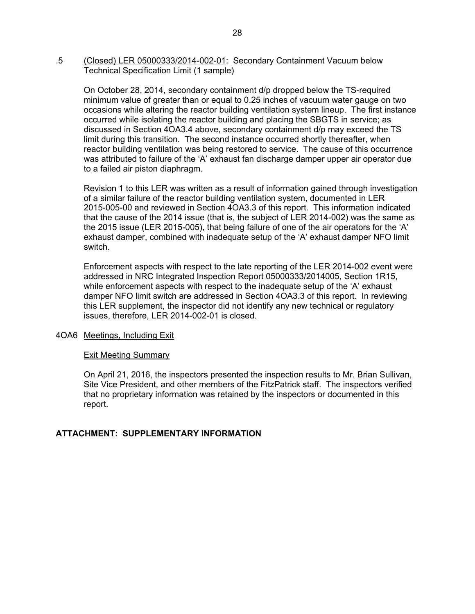.5 (Closed) LER 05000333/2014-002-01: Secondary Containment Vacuum below Technical Specification Limit (1 sample)

On October 28, 2014, secondary containment d/p dropped below the TS-required minimum value of greater than or equal to 0.25 inches of vacuum water gauge on two occasions while altering the reactor building ventilation system lineup. The first instance occurred while isolating the reactor building and placing the SBGTS in service; as discussed in Section 4OA3.4 above, secondary containment d/p may exceed the TS limit during this transition. The second instance occurred shortly thereafter, when reactor building ventilation was being restored to service. The cause of this occurrence was attributed to failure of the 'A' exhaust fan discharge damper upper air operator due to a failed air piston diaphragm.

Revision 1 to this LER was written as a result of information gained through investigation of a similar failure of the reactor building ventilation system, documented in LER 2015-005-00 and reviewed in Section 4OA3.3 of this report. This information indicated that the cause of the 2014 issue (that is, the subject of LER 2014-002) was the same as the 2015 issue (LER 2015-005), that being failure of one of the air operators for the 'A' exhaust damper, combined with inadequate setup of the 'A' exhaust damper NFO limit switch.

Enforcement aspects with respect to the late reporting of the LER 2014-002 event were addressed in NRC Integrated Inspection Report 05000333/2014005, Section 1R15, while enforcement aspects with respect to the inadequate setup of the 'A' exhaust damper NFO limit switch are addressed in Section 4OA3.3 of this report. In reviewing this LER supplement, the inspector did not identify any new technical or regulatory issues, therefore, LER 2014-002-01 is closed.

#### 4OA6 Meetings, Including Exit

#### Exit Meeting Summary

On April 21, 2016, the inspectors presented the inspection results to Mr. Brian Sullivan, Site Vice President, and other members of the FitzPatrick staff. The inspectors verified that no proprietary information was retained by the inspectors or documented in this report.

#### **ATTACHMENT: SUPPLEMENTARY INFORMATION**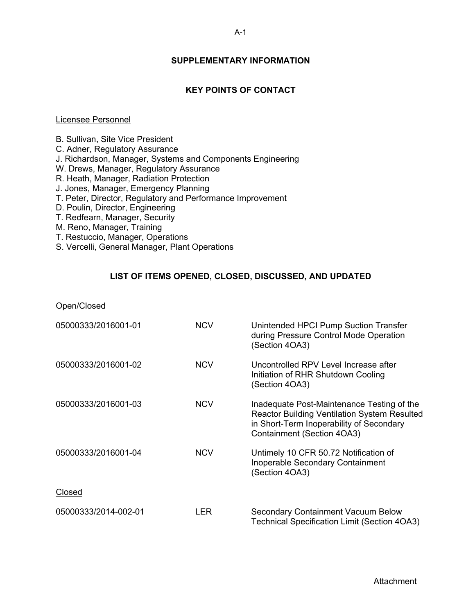## **SUPPLEMENTARY INFORMATION**

## **KEY POINTS OF CONTACT**

#### Licensee Personnel

B. Sullivan, Site Vice President C. Adner, Regulatory Assurance J. Richardson, Manager, Systems and Components Engineering W. Drews, Manager, Regulatory Assurance R. Heath, Manager, Radiation Protection J. Jones, Manager, Emergency Planning T. Peter, Director, Regulatory and Performance Improvement D. Poulin, Director, Engineering T. Redfearn, Manager, Security M. Reno, Manager, Training

- T. Restuccio, Manager, Operations
- S. Vercelli, General Manager, Plant Operations

#### **LIST OF ITEMS OPENED, CLOSED, DISCUSSED, AND UPDATED**

| Open/Closed          |            |                                                                                                                                                                             |
|----------------------|------------|-----------------------------------------------------------------------------------------------------------------------------------------------------------------------------|
| 05000333/2016001-01  | <b>NCV</b> | Unintended HPCI Pump Suction Transfer<br>during Pressure Control Mode Operation<br>(Section 4OA3)                                                                           |
| 05000333/2016001-02  | <b>NCV</b> | Uncontrolled RPV Level Increase after<br>Initiation of RHR Shutdown Cooling<br>(Section 4OA3)                                                                               |
| 05000333/2016001-03  | <b>NCV</b> | Inadequate Post-Maintenance Testing of the<br><b>Reactor Building Ventilation System Resulted</b><br>in Short-Term Inoperability of Secondary<br>Containment (Section 4OA3) |
| 05000333/2016001-04  | <b>NCV</b> | Untimely 10 CFR 50.72 Notification of<br>Inoperable Secondary Containment<br>(Section 4OA3)                                                                                 |
| Closed               |            |                                                                                                                                                                             |
| 05000333/2014-002-01 | <b>LER</b> | <b>Secondary Containment Vacuum Below</b><br><b>Technical Specification Limit (Section 4OA3)</b>                                                                            |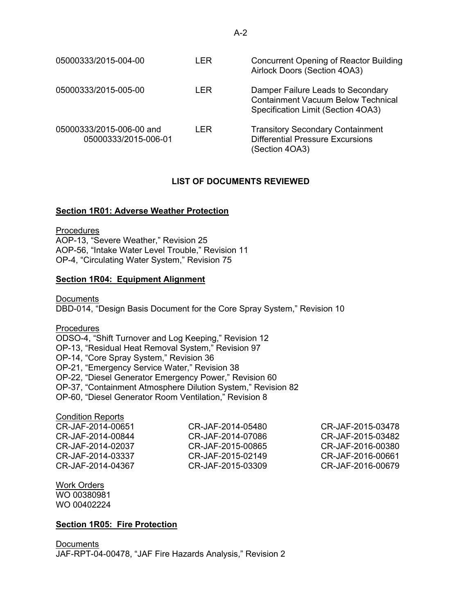| 05000333/2015-004-00                             | LER  | <b>Concurrent Opening of Reactor Building</b><br>Airlock Doors (Section 4OA3)                                        |
|--------------------------------------------------|------|----------------------------------------------------------------------------------------------------------------------|
| 05000333/2015-005-00                             | LER  | Damper Failure Leads to Secondary<br><b>Containment Vacuum Below Technical</b><br>Specification Limit (Section 4OA3) |
| 05000333/2015-006-00 and<br>05000333/2015-006-01 | I FR | <b>Transitory Secondary Containment</b><br><b>Differential Pressure Excursions</b><br>(Section 4OA3)                 |

## **LIST OF DOCUMENTS REVIEWED**

## **Section 1R01: Adverse Weather Protection**

**Procedures** 

AOP-13, "Severe Weather," Revision 25 AOP-56, "Intake Water Level Trouble," Revision 11 OP-4, "Circulating Water System," Revision 75

## **Section 1R04: Equipment Alignment**

**Documents** DBD-014, "Design Basis Document for the Core Spray System," Revision 10

**Procedures** ODSO-4, "Shift Turnover and Log Keeping," Revision 12 OP-13, "Residual Heat Removal System," Revision 97 OP-14, "Core Spray System," Revision 36 OP-21, "Emergency Service Water," Revision 38 OP-22, "Diesel Generator Emergency Power," Revision 60 OP-37, "Containment Atmosphere Dilution System," Revision 82

OP-60, "Diesel Generator Room Ventilation," Revision 8

## Condition Reports

CR-JAF-2014-00651 CR-JAF-2014-00844 CR-JAF-2014-02037 CR-JAF-2014-03337 CR-JAF-2014-04367

CR-JAF-2014-05480 CR-JAF-2014-07086 CR-JAF-2015-00865 CR-JAF-2015-02149 CR-JAF-2015-03309

CR-JAF-2015-03478 CR-JAF-2015-03482 CR-JAF-2016-00380 CR-JAF-2016-00661 CR-JAF-2016-00679

#### Work Orders WO 00380981 WO 00402224

## **Section 1R05: Fire Protection**

**Documents** JAF-RPT-04-00478, "JAF Fire Hazards Analysis," Revision 2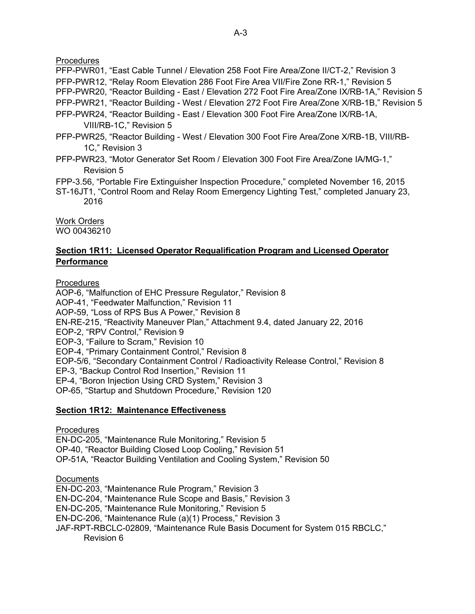**Procedures** 

PFP-PWR01, "East Cable Tunnel / Elevation 258 Foot Fire Area/Zone II/CT-2," Revision 3 PFP-PWR12, "Relay Room Elevation 286 Foot Fire Area VII/Fire Zone RR-1," Revision 5 PFP-PWR20, "Reactor Building - East / Elevation 272 Foot Fire Area/Zone IX/RB-1A," Revision 5 PFP-PWR21, "Reactor Building - West / Elevation 272 Foot Fire Area/Zone X/RB-1B," Revision 5 PFP-PWR24, "Reactor Building - East / Elevation 300 Foot Fire Area/Zone IX/RB-1A,

VIII/RB-1C," Revision 5

- PFP-PWR25, "Reactor Building West / Elevation 300 Foot Fire Area/Zone X/RB-1B, VIII/RB-1C," Revision 3
- PFP-PWR23, "Motor Generator Set Room / Elevation 300 Foot Fire Area/Zone IA/MG-1," Revision 5
- FPP-3.56, "Portable Fire Extinguisher Inspection Procedure," completed November 16, 2015
- ST-16JT1, "Control Room and Relay Room Emergency Lighting Test," completed January 23, 2016

Work Orders

# WO 00436210

## **Section 1R11: Licensed Operator Requalification Program and Licensed Operator Performance**

Procedures

AOP-6, "Malfunction of EHC Pressure Regulator," Revision 8 AOP-41, "Feedwater Malfunction," Revision 11 AOP-59, "Loss of RPS Bus A Power," Revision 8 EN-RE-215, "Reactivity Maneuver Plan," Attachment 9.4, dated January 22, 2016 EOP-2, "RPV Control," Revision 9 EOP-3, "Failure to Scram," Revision 10 EOP-4, "Primary Containment Control," Revision 8 EOP-5/6, "Secondary Containment Control / Radioactivity Release Control," Revision 8 EP-3, "Backup Control Rod Insertion," Revision 11 EP-4, "Boron Injection Using CRD System," Revision 3 OP-65, "Startup and Shutdown Procedure," Revision 120

## **Section 1R12: Maintenance Effectiveness**

Procedures EN-DC-205, "Maintenance Rule Monitoring," Revision 5 OP-40, "Reactor Building Closed Loop Cooling," Revision 51 OP-51A, "Reactor Building Ventilation and Cooling System," Revision 50

**Documents** EN-DC-203, "Maintenance Rule Program," Revision 3 EN-DC-204, "Maintenance Rule Scope and Basis," Revision 3 EN-DC-205, "Maintenance Rule Monitoring," Revision 5 EN-DC-206, "Maintenance Rule (a)(1) Process," Revision 3 JAF-RPT-RBCLC-02809, "Maintenance Rule Basis Document for System 015 RBCLC," Revision 6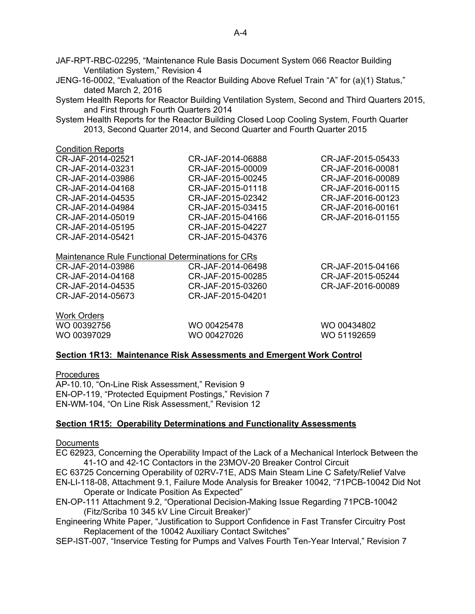JAF-RPT-RBC-02295, "Maintenance Rule Basis Document System 066 Reactor Building Ventilation System," Revision 4

JENG-16-0002, "Evaluation of the Reactor Building Above Refuel Train "A" for (a)(1) Status," dated March 2, 2016

System Health Reports for Reactor Building Ventilation System, Second and Third Quarters 2015, and First through Fourth Quarters 2014

System Health Reports for the Reactor Building Closed Loop Cooling System, Fourth Quarter 2013, Second Quarter 2014, and Second Quarter and Fourth Quarter 2015

| <b>Condition Reports</b> |                   |                   |
|--------------------------|-------------------|-------------------|
| CR-JAF-2014-02521        | CR-JAF-2014-06888 | CR-JAF-2015-05433 |
| CR-JAF-2014-03231        | CR-JAF-2015-00009 | CR-JAF-2016-00081 |
| CR-JAF-2014-03986        | CR-JAF-2015-00245 | CR-JAF-2016-00089 |
| CR-JAF-2014-04168        | CR-JAF-2015-01118 | CR-JAF-2016-00115 |
| CR-JAF-2014-04535        | CR-JAF-2015-02342 | CR-JAF-2016-00123 |
| CR-JAF-2014-04984        | CR-JAF-2015-03415 | CR-JAF-2016-00161 |
| CR-JAF-2014-05019        | CR-JAF-2015-04166 | CR-JAF-2016-01155 |
| CR-JAF-2014-05195        | CR-JAF-2015-04227 |                   |
| CR-JAF-2014-05421        | CR-JAF-2015-04376 |                   |
|                          |                   |                   |

| Maintenance Rule Functional Determinations for CRs |  |
|----------------------------------------------------|--|
|----------------------------------------------------|--|

| CR-JAF-2014-03986 | CR-JAF-2014-06498 | CR-JAF-2015-04166 |
|-------------------|-------------------|-------------------|
| CR-JAF-2014-04168 | CR-JAF-2015-00285 | CR-JAF-2015-05244 |
| CR-JAF-2014-04535 | CR-JAF-2015-03260 | CR-JAF-2016-00089 |
| CR-JAF-2014-05673 | CR-JAF-2015-04201 |                   |
|                   |                   |                   |

Work Orders WO 00392756 WO 00397029

WO 00425478 WO 00427026

WO 00434802 WO 51192659

#### **Section 1R13: Maintenance Risk Assessments and Emergent Work Control**

**Procedures** 

AP-10.10, "On-Line Risk Assessment," Revision 9 EN-OP-119, "Protected Equipment Postings," Revision 7 EN-WM-104, "On Line Risk Assessment," Revision 12

#### **Section 1R15: Operability Determinations and Functionality Assessments**

#### **Documents**

EC 62923, Concerning the Operability Impact of the Lack of a Mechanical Interlock Between the 41-1O and 42-1C Contactors in the 23MOV-20 Breaker Control Circuit

- EC 63725 Concerning Operability of 02RV-71E, ADS Main Steam Line C Safety/Relief Valve
- EN-LI-118-08, Attachment 9.1, Failure Mode Analysis for Breaker 10042, "71PCB-10042 Did Not Operate or Indicate Position As Expected"
- EN-OP-111 Attachment 9.2, "Operational Decision-Making Issue Regarding 71PCB-10042 (Fitz/Scriba 10 345 kV Line Circuit Breaker)"
- Engineering White Paper, "Justification to Support Confidence in Fast Transfer Circuitry Post Replacement of the 10042 Auxiliary Contact Switches"
- SEP-IST-007, "Inservice Testing for Pumps and Valves Fourth Ten-Year Interval," Revision 7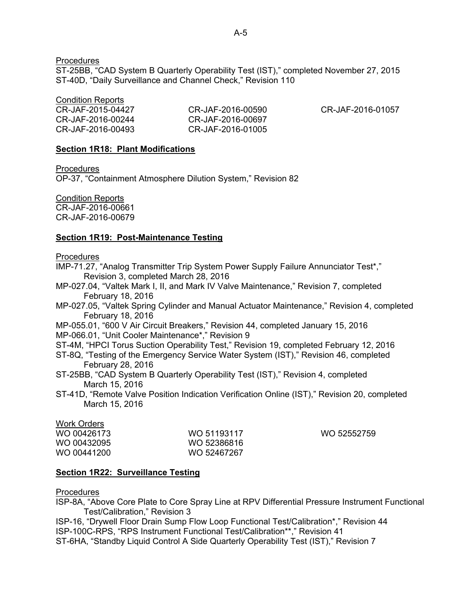**Procedures** 

ST-25BB, "CAD System B Quarterly Operability Test (IST)," completed November 27, 2015 ST-40D, "Daily Surveillance and Channel Check," Revision 110

Condition Reports

| CR-JAF-2015-04427 | CR-JAF-2016-00590 | CR-JAF-2016-01057 |
|-------------------|-------------------|-------------------|
| CR-JAF-2016-00244 | CR-JAF-2016-00697 |                   |
| CR-JAF-2016-00493 | CR-JAF-2016-01005 |                   |

#### **Section 1R18: Plant Modifications**

**Procedures** 

OP-37, "Containment Atmosphere Dilution System," Revision 82

Condition Reports

CR-JAF-2016-00661 CR-JAF-2016-00679

## **Section 1R19: Post-Maintenance Testing**

#### Procedures

- IMP-71.27, "Analog Transmitter Trip System Power Supply Failure Annunciator Test\*," Revision 3, completed March 28, 2016
- MP-027.04, "Valtek Mark I, II, and Mark IV Valve Maintenance," Revision 7, completed February 18, 2016
- MP-027.05, "Valtek Spring Cylinder and Manual Actuator Maintenance," Revision 4, completed February 18, 2016
- MP-055.01, "600 V Air Circuit Breakers," Revision 44, completed January 15, 2016 MP-066.01, "Unit Cooler Maintenance\*," Revision 9
- ST-4M, "HPCI Torus Suction Operability Test," Revision 19, completed February 12, 2016
- ST-8Q, "Testing of the Emergency Service Water System (IST)," Revision 46, completed February 28, 2016
- ST-25BB, "CAD System B Quarterly Operability Test (IST)," Revision 4, completed March 15, 2016
- ST-41D, "Remote Valve Position Indication Verification Online (IST)," Revision 20, completed March 15, 2016

## Work Orders

| WO 00426173 | WO 51193117 |
|-------------|-------------|
| WO 00432095 | WO 52386816 |
| WO 00441200 | WO 52467267 |

WO 52552759

#### **Section 1R22: Surveillance Testing**

#### Procedures

ISP-8A, "Above Core Plate to Core Spray Line at RPV Differential Pressure Instrument Functional Test/Calibration," Revision 3

ISP-16, "Drywell Floor Drain Sump Flow Loop Functional Test/Calibration\*," Revision 44 ISP-100C-RPS, "RPS Instrument Functional Test/Calibration\*\*," Revision 41 ST-6HA, "Standby Liquid Control A Side Quarterly Operability Test (IST)," Revision 7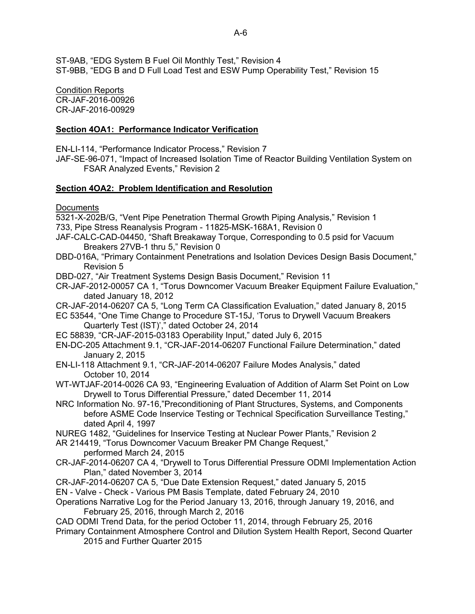ST-9AB, "EDG System B Fuel Oil Monthly Test," Revision 4 ST-9BB, "EDG B and D Full Load Test and ESW Pump Operability Test," Revision 15

Condition Reports

CR-JAF-2016-00926 CR-JAF-2016-00929

## **Section 4OA1: Performance Indicator Verification**

EN-LI-114, "Performance Indicator Process," Revision 7

JAF-SE-96-071, "Impact of Increased Isolation Time of Reactor Building Ventilation System on FSAR Analyzed Events," Revision 2

## **Section 4OA2: Problem Identification and Resolution**

**Documents** 

5321-X-202B/G, "Vent Pipe Penetration Thermal Growth Piping Analysis," Revision 1

- 733, Pipe Stress Reanalysis Program 11825-MSK-168A1, Revision 0
- JAF-CALC-CAD-04450, "Shaft Breakaway Torque, Corresponding to 0.5 psid for Vacuum Breakers 27VB-1 thru 5," Revision 0
- DBD-016A, "Primary Containment Penetrations and Isolation Devices Design Basis Document," Revision 5
- DBD-027, "Air Treatment Systems Design Basis Document," Revision 11
- CR-JAF-2012-00057 CA 1, "Torus Downcomer Vacuum Breaker Equipment Failure Evaluation," dated January 18, 2012
- CR-JAF-2014-06207 CA 5, "Long Term CA Classification Evaluation," dated January 8, 2015
- EC 53544, "One Time Change to Procedure ST-15J, 'Torus to Drywell Vacuum Breakers Quarterly Test (IST)'," dated October 24, 2014
- EC 58839, "CR-JAF-2015-03183 Operability Input," dated July 6, 2015
- EN-DC-205 Attachment 9.1, "CR-JAF-2014-06207 Functional Failure Determination," dated January 2, 2015
- EN-LI-118 Attachment 9.1, "CR-JAF-2014-06207 Failure Modes Analysis," dated October 10, 2014
- WT-WTJAF-2014-0026 CA 93, "Engineering Evaluation of Addition of Alarm Set Point on Low Drywell to Torus Differential Pressure," dated December 11, 2014
- NRC Information No. 97-16,"Preconditioning of Plant Structures, Systems, and Components before ASME Code Inservice Testing or Technical Specification Surveillance Testing," dated April 4, 1997
- NUREG 1482, "Guidelines for Inservice Testing at Nuclear Power Plants," Revision 2
- AR 214419, "Torus Downcomer Vacuum Breaker PM Change Request,"

performed March 24, 2015

- CR-JAF-2014-06207 CA 4, "Drywell to Torus Differential Pressure ODMI Implementation Action Plan," dated November 3, 2014
- CR-JAF-2014-06207 CA 5, "Due Date Extension Request," dated January 5, 2015
- EN Valve Check Various PM Basis Template, dated February 24, 2010
- Operations Narrative Log for the Period January 13, 2016, through January 19, 2016, and February 25, 2016, through March 2, 2016
- CAD ODMI Trend Data, for the period October 11, 2014, through February 25, 2016
- Primary Containment Atmosphere Control and Dilution System Health Report, Second Quarter 2015 and Further Quarter 2015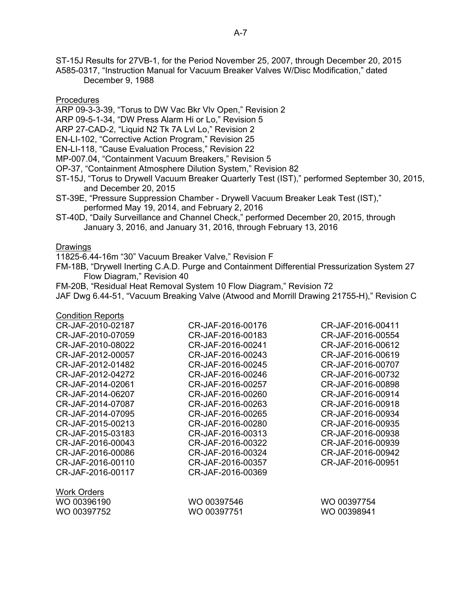ST-15J Results for 27VB-1, for the Period November 25, 2007, through December 20, 2015 A585-0317, "Instruction Manual for Vacuum Breaker Valves W/Disc Modification," dated December 9, 1988

Procedures

- ARP 09-3-3-39, "Torus to DW Vac Bkr Vlv Open," Revision 2
- ARP 09-5-1-34, "DW Press Alarm Hi or Lo," Revision 5
- ARP 27-CAD-2, "Liquid N2 Tk 7A Lvl Lo," Revision 2
- EN-LI-102, "Corrective Action Program," Revision 25
- EN-LI-118, "Cause Evaluation Process," Revision 22
- MP-007.04, "Containment Vacuum Breakers," Revision 5
- OP-37, "Containment Atmosphere Dilution System," Revision 82
- ST-15J, "Torus to Drywell Vacuum Breaker Quarterly Test (IST)," performed September 30, 2015, and December 20, 2015
- ST-39E, "Pressure Suppression Chamber Drywell Vacuum Breaker Leak Test (IST)," performed May 19, 2014, and February 2, 2016
- ST-40D, "Daily Surveillance and Channel Check," performed December 20, 2015, through January 3, 2016, and January 31, 2016, through February 13, 2016

#### Drawings

11825-6.44-16m "30" Vacuum Breaker Valve," Revision F

FM-18B, "Drywell Inerting C.A.D. Purge and Containment Differential Pressurization System 27 Flow Diagram," Revision 40

- FM-20B, "Residual Heat Removal System 10 Flow Diagram," Revision 72
- JAF Dwg 6.44-51, "Vacuum Breaking Valve (Atwood and Morrill Drawing 21755-H)," Revision C

| <b>Condition Reports</b> |                   |                   |
|--------------------------|-------------------|-------------------|
| CR-JAF-2010-02187        | CR-JAF-2016-00176 | CR-JAF-2016-00411 |
| CR-JAF-2010-07059        | CR-JAF-2016-00183 | CR-JAF-2016-00554 |
| CR-JAF-2010-08022        | CR-JAF-2016-00241 | CR-JAF-2016-00612 |
| CR-JAF-2012-00057        | CR-JAF-2016-00243 | CR-JAF-2016-00619 |
| CR-JAF-2012-01482        | CR-JAF-2016-00245 | CR-JAF-2016-00707 |
| CR-JAF-2012-04272        | CR-JAF-2016-00246 | CR-JAF-2016-00732 |
| CR-JAF-2014-02061        | CR-JAF-2016-00257 | CR-JAF-2016-00898 |
| CR-JAF-2014-06207        | CR-JAF-2016-00260 | CR-JAF-2016-00914 |
| CR-JAF-2014-07087        | CR-JAF-2016-00263 | CR-JAF-2016-00918 |
| CR-JAF-2014-07095        | CR-JAF-2016-00265 | CR-JAF-2016-00934 |
| CR-JAF-2015-00213        | CR-JAF-2016-00280 | CR-JAF-2016-00935 |
| CR-JAF-2015-03183        | CR-JAF-2016-00313 | CR-JAF-2016-00938 |
| CR-JAF-2016-00043        | CR-JAF-2016-00322 | CR-JAF-2016-00939 |
| CR-JAF-2016-00086        | CR-JAF-2016-00324 | CR-JAF-2016-00942 |
| CR-JAF-2016-00110        | CR-JAF-2016-00357 | CR-JAF-2016-00951 |
| CR-JAF-2016-00117        | CR-JAF-2016-00369 |                   |
| Work Orders              |                   |                   |
| WO 00396190              | WO 00397546       | WO 00397754       |
| WO 00397752              | WO 00397751       | WO 00398941       |